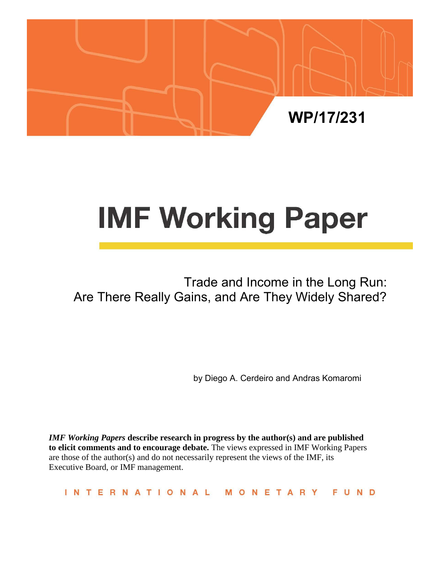

# **IMF Working Paper**

# Trade and Income in the Long Run: Are There Really Gains, and Are They Widely Shared?

by Diego A. Cerdeiro and Andras Komaromi

*IMF Working Papers* **describe research in progress by the author(s) and are published to elicit comments and to encourage debate.** The views expressed in IMF Working Papers are those of the author(s) and do not necessarily represent the views of the IMF, its Executive Board, or IMF management.

INTERNATIONAL MONETARY FUND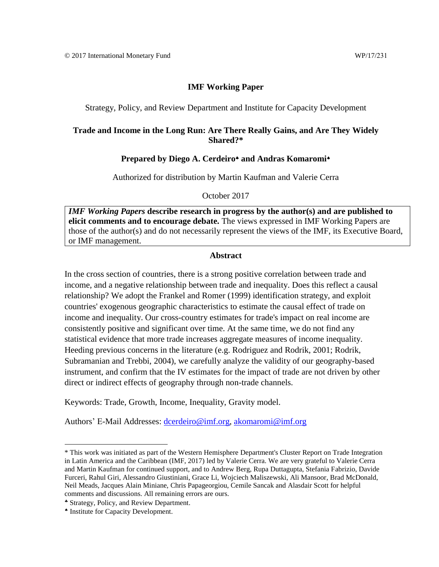## **IMF Working Paper**

Strategy, Policy, and Review Department and Institute for Capacity Development

## **Trade and Income in the Long Run: Are There Really Gains, and Are They Widely Shared?\***

### Prepared by Diego A. Cerdeiro<sup>\*</sup> and Andras Komaromi<sup>\*</sup>

Authorized for distribution by Martin Kaufman and Valerie Cerra

October 2017

*IMF Working Papers* **describe research in progress by the author(s) and are published to elicit comments and to encourage debate.** The views expressed in IMF Working Papers are those of the author(s) and do not necessarily represent the views of the IMF, its Executive Board, or IMF management.

## **Abstract**

In the cross section of countries, there is a strong positive correlation between trade and income, and a negative relationship between trade and inequality. Does this reflect a causal relationship? We adopt the Frankel and Romer (1999) identification strategy, and exploit countries' exogenous geographic characteristics to estimate the causal effect of trade on income and inequality. Our cross-country estimates for trade's impact on real income are consistently positive and significant over time. At the same time, we do not find any statistical evidence that more trade increases aggregate measures of income inequality. Heeding previous concerns in the literature (e.g. Rodriguez and Rodrik, 2001; Rodrik, Subramanian and Trebbi, 2004), we carefully analyze the validity of our geography-based instrument, and confirm that the IV estimates for the impact of trade are not driven by other direct or indirect effects of geography through non-trade channels.

Keywords: Trade, Growth, Income, Inequality, Gravity model.

Authors' E-Mail Addresses: [dcerdeiro@imf.org,](mailto:dcerdeiro@imf.org) [akomaromi@imf.org](mailto:akomaromi@imf.org)

<sup>\*</sup> This work was initiated as part of the Western Hemisphere Department's Cluster Report on Trade Integration in Latin America and the Caribbean (IMF, 2017) led by Valerie Cerra. We are very grateful to Valerie Cerra and Martin Kaufman for continued support, and to Andrew Berg, Rupa Duttagupta, Stefania Fabrizio, Davide Furceri, Rahul Giri, Alessandro Giustiniani, Grace Li, Wojciech Maliszewski, Ali Mansoor, Brad McDonald, Neil Meads, Jacques Alain Miniane, Chris Papageorgiou, Cemile Sancak and Alasdair Scott for helpful comments and discussions. All remaining errors are ours.

Strategy, Policy, and Review Department.

Institute for Capacity Development.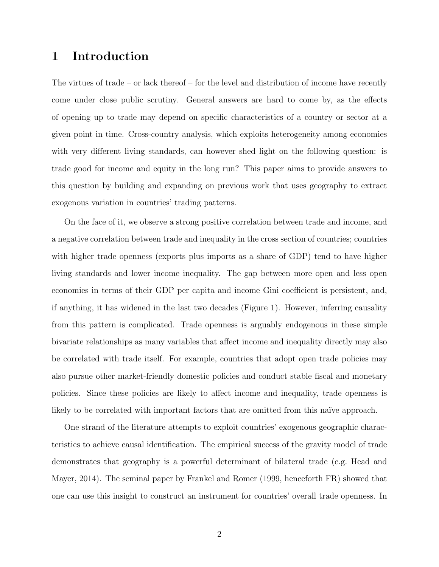## 1 Introduction

The virtues of trade – or lack thereof – for the level and distribution of income have recently come under close public scrutiny. General answers are hard to come by, as the effects of opening up to trade may depend on specific characteristics of a country or sector at a given point in time. Cross-country analysis, which exploits heterogeneity among economies with very different living standards, can however shed light on the following question: is trade good for income and equity in the long run? This paper aims to provide answers to this question by building and expanding on previous work that uses geography to extract exogenous variation in countries' trading patterns.

On the face of it, we observe a strong positive correlation between trade and income, and a negative correlation between trade and inequality in the cross section of countries; countries with higher trade openness (exports plus imports as a share of GDP) tend to have higher living standards and lower income inequality. The gap between more open and less open economies in terms of their GDP per capita and income Gini coefficient is persistent, and, if anything, it has widened in the last two decades (Figure 1). However, inferring causality from this pattern is complicated. Trade openness is arguably endogenous in these simple bivariate relationships as many variables that affect income and inequality directly may also be correlated with trade itself. For example, countries that adopt open trade policies may also pursue other market-friendly domestic policies and conduct stable fiscal and monetary policies. Since these policies are likely to affect income and inequality, trade openness is likely to be correlated with important factors that are omitted from this naïve approach.

One strand of the literature attempts to exploit countries' exogenous geographic characteristics to achieve causal identification. The empirical success of the gravity model of trade demonstrates that geography is a powerful determinant of bilateral trade (e.g. Head and Mayer, 2014). The seminal paper by Frankel and Romer (1999, henceforth FR) showed that one can use this insight to construct an instrument for countries' overall trade openness. In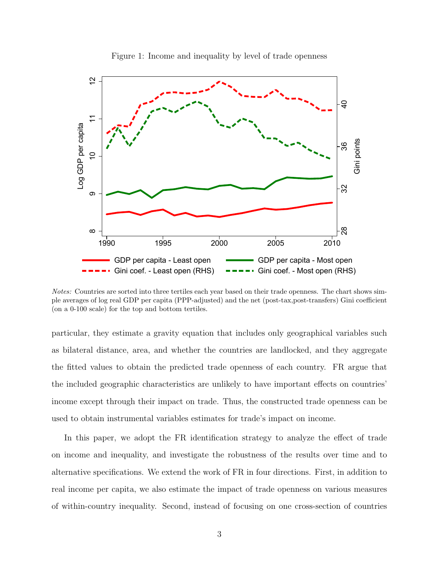

Figure 1: Income and inequality by level of trade openness

Notes: Countries are sorted into three tertiles each year based on their trade openness. The chart shows simple averages of log real GDP per capita (PPP-adjusted) and the net (post-tax,post-transfers) Gini coefficient (on a 0-100 scale) for the top and bottom tertiles.

particular, they estimate a gravity equation that includes only geographical variables such as bilateral distance, area, and whether the countries are landlocked, and they aggregate the fitted values to obtain the predicted trade openness of each country. FR argue that the included geographic characteristics are unlikely to have important effects on countries' income except through their impact on trade. Thus, the constructed trade openness can be used to obtain instrumental variables estimates for trade's impact on income.

In this paper, we adopt the FR identification strategy to analyze the effect of trade on income and inequality, and investigate the robustness of the results over time and to alternative specifications. We extend the work of FR in four directions. First, in addition to real income per capita, we also estimate the impact of trade openness on various measures of within-country inequality. Second, instead of focusing on one cross-section of countries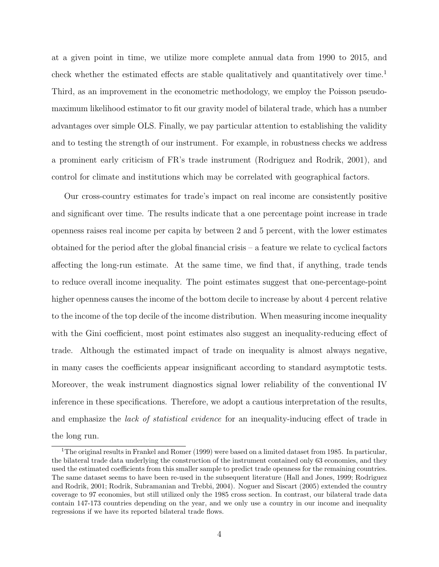at a given point in time, we utilize more complete annual data from 1990 to 2015, and check whether the estimated effects are stable qualitatively and quantitatively over time.<sup>1</sup> Third, as an improvement in the econometric methodology, we employ the Poisson pseudomaximum likelihood estimator to fit our gravity model of bilateral trade, which has a number advantages over simple OLS. Finally, we pay particular attention to establishing the validity and to testing the strength of our instrument. For example, in robustness checks we address a prominent early criticism of FR's trade instrument (Rodriguez and Rodrik, 2001), and control for climate and institutions which may be correlated with geographical factors.

Our cross-country estimates for trade's impact on real income are consistently positive and significant over time. The results indicate that a one percentage point increase in trade openness raises real income per capita by between 2 and 5 percent, with the lower estimates obtained for the period after the global financial crisis – a feature we relate to cyclical factors affecting the long-run estimate. At the same time, we find that, if anything, trade tends to reduce overall income inequality. The point estimates suggest that one-percentage-point higher openness causes the income of the bottom decile to increase by about 4 percent relative to the income of the top decile of the income distribution. When measuring income inequality with the Gini coefficient, most point estimates also suggest an inequality-reducing effect of trade. Although the estimated impact of trade on inequality is almost always negative, in many cases the coefficients appear insignificant according to standard asymptotic tests. Moreover, the weak instrument diagnostics signal lower reliability of the conventional IV inference in these specifications. Therefore, we adopt a cautious interpretation of the results, and emphasize the *lack of statistical evidence* for an inequality-inducing effect of trade in the long run.

<sup>&</sup>lt;sup>1</sup>The original results in Frankel and Romer (1999) were based on a limited dataset from 1985. In particular, the bilateral trade data underlying the construction of the instrument contained only 63 economies, and they used the estimated coefficients from this smaller sample to predict trade openness for the remaining countries. The same dataset seems to have been re-used in the subsequent literature (Hall and Jones, 1999; Rodriguez and Rodrik, 2001; Rodrik, Subramanian and Trebbi, 2004). Noguer and Siscart (2005) extended the country coverage to 97 economies, but still utilized only the 1985 cross section. In contrast, our bilateral trade data contain 147-173 countries depending on the year, and we only use a country in our income and inequality regressions if we have its reported bilateral trade flows.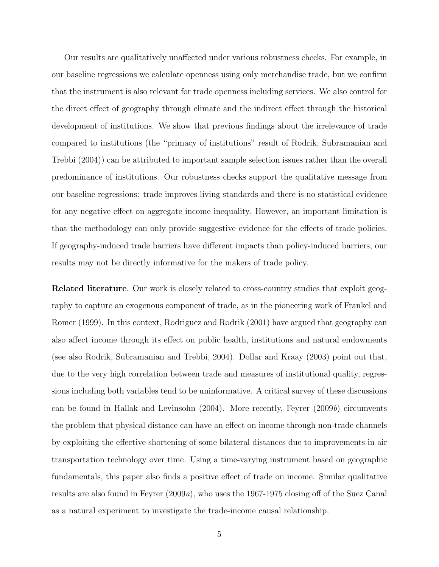Our results are qualitatively unaffected under various robustness checks. For example, in our baseline regressions we calculate openness using only merchandise trade, but we confirm that the instrument is also relevant for trade openness including services. We also control for the direct effect of geography through climate and the indirect effect through the historical development of institutions. We show that previous findings about the irrelevance of trade compared to institutions (the "primacy of institutions" result of Rodrik, Subramanian and Trebbi (2004)) can be attributed to important sample selection issues rather than the overall predominance of institutions. Our robustness checks support the qualitative message from our baseline regressions: trade improves living standards and there is no statistical evidence for any negative effect on aggregate income inequality. However, an important limitation is that the methodology can only provide suggestive evidence for the effects of trade policies. If geography-induced trade barriers have different impacts than policy-induced barriers, our results may not be directly informative for the makers of trade policy.

Related literature. Our work is closely related to cross-country studies that exploit geography to capture an exogenous component of trade, as in the pioneering work of Frankel and Romer (1999). In this context, Rodriguez and Rodrik (2001) have argued that geography can also affect income through its effect on public health, institutions and natural endowments (see also Rodrik, Subramanian and Trebbi, 2004). Dollar and Kraay (2003) point out that, due to the very high correlation between trade and measures of institutional quality, regressions including both variables tend to be uninformative. A critical survey of these discussions can be found in Hallak and Levinsohn (2004). More recently, Feyrer (2009b) circumvents the problem that physical distance can have an effect on income through non-trade channels by exploiting the effective shortening of some bilateral distances due to improvements in air transportation technology over time. Using a time-varying instrument based on geographic fundamentals, this paper also finds a positive effect of trade on income. Similar qualitative results are also found in Feyrer (2009a), who uses the 1967-1975 closing off of the Suez Canal as a natural experiment to investigate the trade-income causal relationship.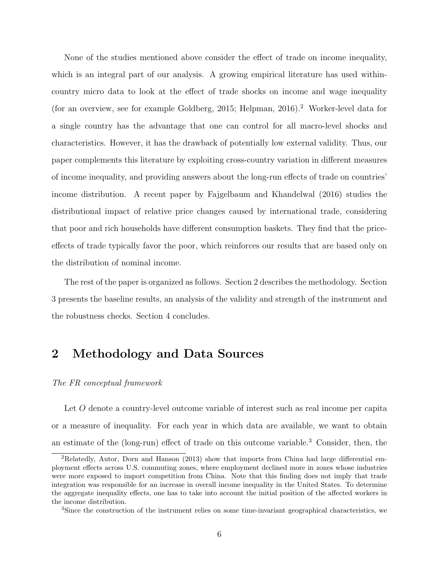None of the studies mentioned above consider the effect of trade on income inequality, which is an integral part of our analysis. A growing empirical literature has used withincountry micro data to look at the effect of trade shocks on income and wage inequality (for an overview, see for example Goldberg, 2015; Helpman, 2016).<sup>2</sup> Worker-level data for a single country has the advantage that one can control for all macro-level shocks and characteristics. However, it has the drawback of potentially low external validity. Thus, our paper complements this literature by exploiting cross-country variation in different measures of income inequality, and providing answers about the long-run effects of trade on countries' income distribution. A recent paper by Fajgelbaum and Khandelwal (2016) studies the distributional impact of relative price changes caused by international trade, considering that poor and rich households have different consumption baskets. They find that the priceeffects of trade typically favor the poor, which reinforces our results that are based only on the distribution of nominal income.

The rest of the paper is organized as follows. Section 2 describes the methodology. Section 3 presents the baseline results, an analysis of the validity and strength of the instrument and the robustness checks. Section 4 concludes.

## 2 Methodology and Data Sources

#### The FR conceptual framework

Let O denote a country-level outcome variable of interest such as real income per capita or a measure of inequality. For each year in which data are available, we want to obtain an estimate of the (long-run) effect of trade on this outcome variable.<sup>3</sup> Consider, then, the

<sup>2</sup>Relatedly, Autor, Dorn and Hanson (2013) show that imports from China had large differential employment effects across U.S. commuting zones, where employment declined more in zones whose industries were more exposed to import competition from China. Note that this finding does not imply that trade integration was responsible for an increase in overall income inequality in the United States. To determine the aggregate inequality effects, one has to take into account the initial position of the affected workers in the income distribution.

<sup>3</sup>Since the construction of the instrument relies on some time-invariant geographical characteristics, we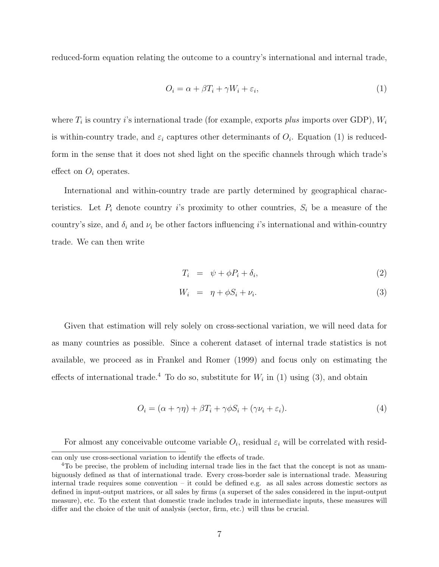reduced-form equation relating the outcome to a country's international and internal trade,

$$
O_i = \alpha + \beta T_i + \gamma W_i + \varepsilon_i,\tag{1}
$$

where  $T_i$  is country *i*'s international trade (for example, exports *plus* imports over GDP),  $W_i$ is within-country trade, and  $\varepsilon_i$  captures other determinants of  $O_i$ . Equation (1) is reducedform in the sense that it does not shed light on the specific channels through which trade's effect on  $O_i$  operates.

International and within-country trade are partly determined by geographical characteristics. Let  $P_i$  denote country i's proximity to other countries,  $S_i$  be a measure of the country's size, and  $\delta_i$  and  $\nu_i$  be other factors influencing i's international and within-country trade. We can then write

$$
T_i = \psi + \phi P_i + \delta_i, \tag{2}
$$

$$
W_i = \eta + \phi S_i + \nu_i. \tag{3}
$$

Given that estimation will rely solely on cross-sectional variation, we will need data for as many countries as possible. Since a coherent dataset of internal trade statistics is not available, we proceed as in Frankel and Romer (1999) and focus only on estimating the effects of international trade.<sup>4</sup> To do so, substitute for  $W_i$  in (1) using (3), and obtain

$$
O_i = (\alpha + \gamma \eta) + \beta T_i + \gamma \phi S_i + (\gamma \nu_i + \varepsilon_i). \tag{4}
$$

For almost any conceivable outcome variable  $O_i$ , residual  $\varepsilon_i$  will be correlated with resid-

can only use cross-sectional variation to identify the effects of trade.

<sup>4</sup>To be precise, the problem of including internal trade lies in the fact that the concept is not as unambiguously defined as that of international trade. Every cross-border sale is international trade. Measuring internal trade requires some convention – it could be defined e.g. as all sales across domestic sectors as defined in input-output matrices, or all sales by firms (a superset of the sales considered in the input-output measure), etc. To the extent that domestic trade includes trade in intermediate inputs, these measures will differ and the choice of the unit of analysis (sector, firm, etc.) will thus be crucial.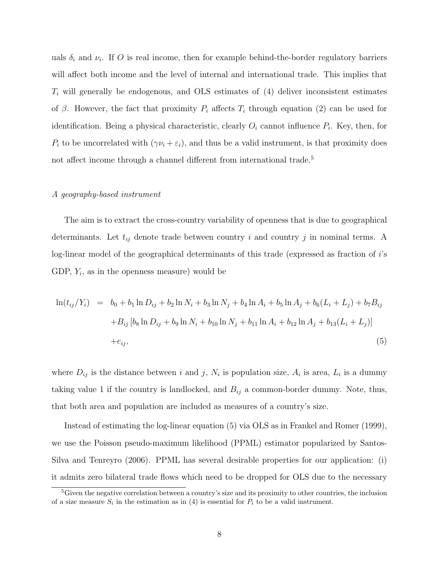uals  $\delta_i$  and  $\nu_i$ . If O is real income, then for example behind-the-border regulatory barriers will affect both income and the level of internal and international trade. This implies that  $T_i$  will generally be endogenous, and OLS estimates of (4) deliver inconsistent estimates of  $\beta$ . However, the fact that proximity  $P_i$  affects  $T_i$  through equation (2) can be used for identification. Being a physical characteristic, clearly  $O_i$  cannot influence  $P_i$ . Key, then, for  $P_i$  to be uncorrelated with  $(\gamma \nu_i + \varepsilon_i)$ , and thus be a valid instrument, is that proximity does not affect income through a channel different from international trade.<sup>5</sup>

#### A geography-based instrument

The aim is to extract the cross-country variability of openness that is due to geographical determinants. Let  $t_{ij}$  denote trade between country i and country j in nominal terms. A log-linear model of the geographical determinants of this trade (expressed as fraction of i's GDP,  $Y_i$ , as in the openness measure) would be

$$
\ln(t_{ij}/Y_i) = b_0 + b_1 \ln D_{ij} + b_2 \ln N_i + b_3 \ln N_j + b_4 \ln A_i + b_5 \ln A_j + b_6 (L_i + L_j) + b_7 B_{ij}
$$
  
+
$$
B_{ij} [b_8 \ln D_{ij} + b_9 \ln N_i + b_{10} \ln N_j + b_{11} \ln A_i + b_{12} \ln A_j + b_{13} (L_i + L_j)]
$$
  
+
$$
e_{ij}, \tag{5}
$$

where  $D_{ij}$  is the distance between i and j,  $N_i$  is population size,  $A_i$  is area,  $L_i$  is a dummy taking value 1 if the country is landlocked, and  $B_{ij}$  a common-border dummy. Note, thus, that both area and population are included as measures of a country's size.

Instead of estimating the log-linear equation (5) via OLS as in Frankel and Romer (1999), we use the Poisson pseudo-maximum likelihood (PPML) estimator popularized by Santos-Silva and Tenreyro (2006). PPML has several desirable properties for our application: (i) it admits zero bilateral trade flows which need to be dropped for OLS due to the necessary

<sup>&</sup>lt;sup>5</sup>Given the negative correlation between a country's size and its proximity to other countries, the inclusion of a size measure  $S_i$  in the estimation as in (4) is essential for  $P_i$  to be a valid instrument.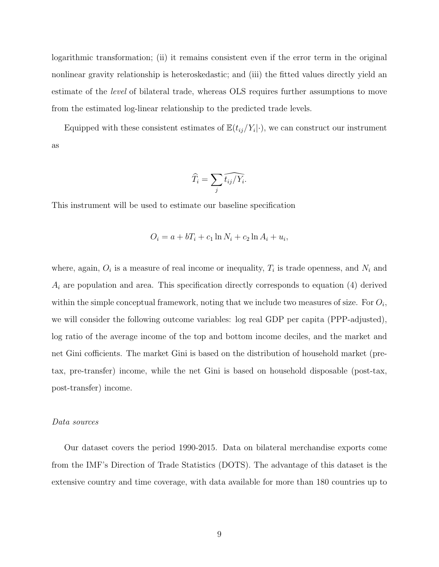logarithmic transformation; (ii) it remains consistent even if the error term in the original nonlinear gravity relationship is heteroskedastic; and (iii) the fitted values directly yield an estimate of the level of bilateral trade, whereas OLS requires further assumptions to move from the estimated log-linear relationship to the predicted trade levels.

Equipped with these consistent estimates of  $\mathbb{E}(t_{ij}/Y_i|\cdot)$ , we can construct our instrument as

$$
\widehat{T}_i = \sum_j \widehat{t_{ij}} / \widehat{Y_i}.
$$

This instrument will be used to estimate our baseline specification

$$
O_i = a + bT_i + c_1 \ln N_i + c_2 \ln A_i + u_i,
$$

where, again,  $O_i$  is a measure of real income or inequality,  $T_i$  is trade openness, and  $N_i$  and  $A_i$  are population and area. This specification directly corresponds to equation (4) derived within the simple conceptual framework, noting that we include two measures of size. For  $O_i$ , we will consider the following outcome variables: log real GDP per capita (PPP-adjusted), log ratio of the average income of the top and bottom income deciles, and the market and net Gini cofficients. The market Gini is based on the distribution of household market (pretax, pre-transfer) income, while the net Gini is based on household disposable (post-tax, post-transfer) income.

#### Data sources

Our dataset covers the period 1990-2015. Data on bilateral merchandise exports come from the IMF's Direction of Trade Statistics (DOTS). The advantage of this dataset is the extensive country and time coverage, with data available for more than 180 countries up to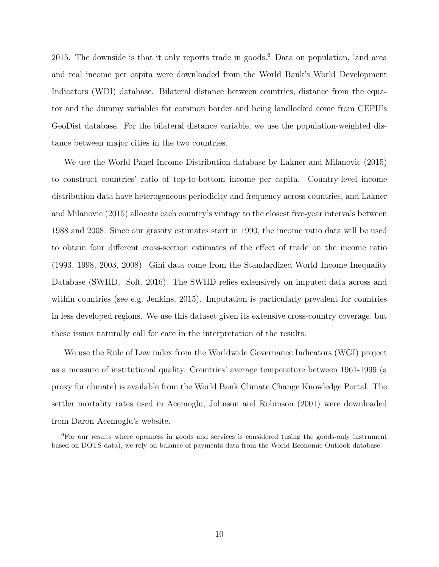2015. The downside is that it only reports trade in goods.<sup>6</sup> Data on population, land area and real income per capita were downloaded from the World Bank's World Development Indicators (WDI) database. Bilateral distance between countries, distance from the equator and the dummy variables for common border and being landlocked come from CEPII's GeoDist database. For the bilateral distance variable, we use the population-weighted distance between major cities in the two countries.

We use the World Panel Income Distribution database by Lakner and Milanovic (2015) to construct countries' ratio of top-to-bottom income per capita. Country-level income distribution data have heterogeneous periodicity and frequency across countries, and Lakner and Milanovic (2015) allocate each country's vintage to the closest five-year intervals between 1988 and 2008. Since our gravity estimates start in 1990, the income ratio data will be used to obtain four different cross-section estimates of the effect of trade on the income ratio (1993, 1998, 2003, 2008). Gini data come from the Standardized World Income Inequality Database (SWIID, Solt, 2016). The SWIID relies extensively on imputed data across and within countries (see e.g. Jenkins, 2015). Imputation is particularly prevalent for countries in less developed regions. We use this dataset given its extensive cross-country coverage, but these issues naturally call for care in the interpretation of the results.

We use the Rule of Law index from the Worldwide Governance Indicators (WGI) project as a measure of institutional quality. Countries' average temperature between 1961-1999 (a proxy for climate) is available from the World Bank Climate Change Knowledge Portal. The settler mortality rates used in Acemoglu, Johnson and Robinson (2001) were downloaded from Daron Acemoglu's website.

<sup>6</sup>For our results where openness in goods and services is considered (using the goods-only instrument based on DOTS data), we rely on balance of payments data from the World Economic Outlook database.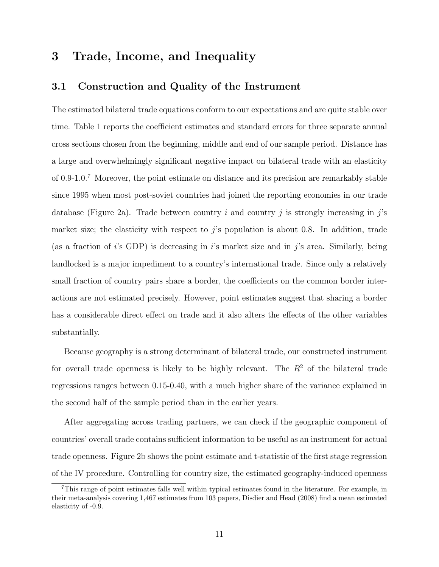## 3 Trade, Income, and Inequality

## 3.1 Construction and Quality of the Instrument

The estimated bilateral trade equations conform to our expectations and are quite stable over time. Table 1 reports the coefficient estimates and standard errors for three separate annual cross sections chosen from the beginning, middle and end of our sample period. Distance has a large and overwhelmingly significant negative impact on bilateral trade with an elasticity of 0.9-1.0.<sup>7</sup> Moreover, the point estimate on distance and its precision are remarkably stable since 1995 when most post-soviet countries had joined the reporting economies in our trade database (Figure 2a). Trade between country i and country j is strongly increasing in j's market size; the elasticity with respect to  $j$ 's population is about 0.8. In addition, trade (as a fraction of i's GDP) is decreasing in i's market size and in j's area. Similarly, being landlocked is a major impediment to a country's international trade. Since only a relatively small fraction of country pairs share a border, the coefficients on the common border interactions are not estimated precisely. However, point estimates suggest that sharing a border has a considerable direct effect on trade and it also alters the effects of the other variables substantially.

Because geography is a strong determinant of bilateral trade, our constructed instrument for overall trade openness is likely to be highly relevant. The  $R<sup>2</sup>$  of the bilateral trade regressions ranges between 0.15-0.40, with a much higher share of the variance explained in the second half of the sample period than in the earlier years.

After aggregating across trading partners, we can check if the geographic component of countries' overall trade contains sufficient information to be useful as an instrument for actual trade openness. Figure 2b shows the point estimate and t-statistic of the first stage regression of the IV procedure. Controlling for country size, the estimated geography-induced openness

<sup>7</sup>This range of point estimates falls well within typical estimates found in the literature. For example, in their meta-analysis covering 1,467 estimates from 103 papers, Disdier and Head (2008) find a mean estimated elasticity of -0.9.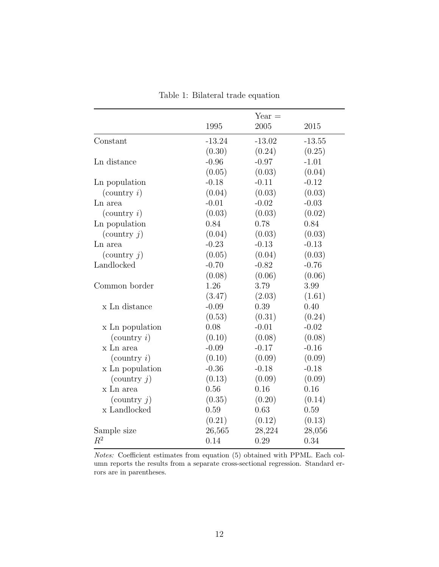Table 1: Bilateral trade equation

|                                  |          | $Year =$ |          |
|----------------------------------|----------|----------|----------|
|                                  | 1995     | 2005     | 2015     |
|                                  |          |          |          |
| Constant                         | $-13.24$ | $-13.02$ | $-13.55$ |
|                                  | (0.30)   | (0.24)   | (0.25)   |
| Ln distance                      | $-0.96$  | $-0.97$  | $-1.01$  |
|                                  | (0.05)   | (0.03)   | (0.04)   |
| Ln population                    | $-0.18$  | $-0.11$  | $-0.12$  |
| $\left(\text{country } i\right)$ | (0.04)   | (0.03)   | (0.03)   |
| Ln area                          | $-0.01$  | $-0.02$  | $-0.03$  |
| $\text{(country } i)$            | (0.03)   | (0.03)   | (0.02)   |
| Ln population                    | 0.84     | 0.78     | 0.84     |
| (country $j$ )                   | (0.04)   | (0.03)   | (0.03)   |
| Ln area                          | $-0.23$  | $-0.13$  | $-0.13$  |
| (country $j$ )                   | (0.05)   | (0.04)   | (0.03)   |
| Landlocked                       | $-0.70$  | $-0.82$  | $-0.76$  |
|                                  | (0.08)   | (0.06)   | (0.06)   |
| Common border                    | 1.26     | 3.79     | 3.99     |
|                                  | (3.47)   | (2.03)   | (1.61)   |
| x Ln distance                    | $-0.09$  | 0.39     | 0.40     |
|                                  | (0.53)   | (0.31)   | (0.24)   |
| x Ln population                  | 0.08     | $-0.01$  | $-0.02$  |
| $\text{(country } i)$            | (0.10)   | (0.08)   | (0.08)   |
| x Ln area                        | $-0.09$  | $-0.17$  | $-0.16$  |
| $\left(\text{country } i\right)$ | (0.10)   | (0.09)   | (0.09)   |
| x Ln population                  | $-0.36$  | $-0.18$  | $-0.18$  |
| (country $j$ )                   | (0.13)   | (0.09)   | (0.09)   |
| x Ln area                        | 0.56     | 0.16     | 0.16     |
| $\text{(country } j)$            | (0.35)   | (0.20)   | (0.14)   |
| x Landlocked                     | 0.59     | 0.63     | 0.59     |
|                                  | (0.21)   | (0.12)   | (0.13)   |
| Sample size                      | 26,565   | 28,224   | 28,056   |
| $R^2$                            | 0.14     | 0.29     | 0.34     |

Notes: Coefficient estimates from equation (5) obtained with PPML. Each column reports the results from a separate cross-sectional regression. Standard errors are in parentheses.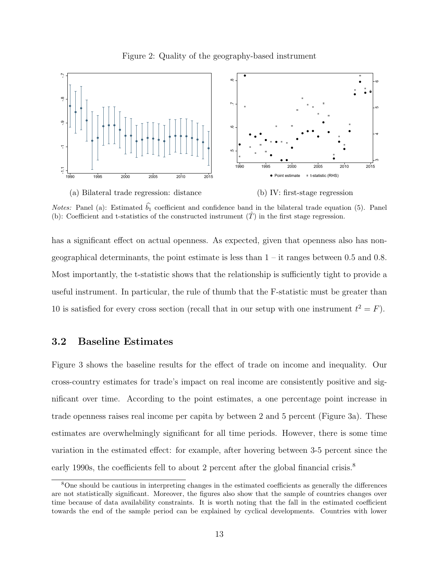Figure 2: Quality of the geography-based instrument



*Notes:* Panel (a): Estimated  $\hat{b}_1$  coefficient and confidence band in the bilateral trade equation (5). Panel (b): Coefficient and t-statistics of the constructed instrument  $(\hat{T})$  in the first stage regression.

has a significant effect on actual openness. As expected, given that openness also has nongeographical determinants, the point estimate is less than  $1 - it$  ranges between 0.5 and 0.8. Most importantly, the t-statistic shows that the relationship is sufficiently tight to provide a useful instrument. In particular, the rule of thumb that the F-statistic must be greater than 10 is satisfied for every cross section (recall that in our setup with one instrument  $t^2 = F$ ).

## 3.2 Baseline Estimates

Figure 3 shows the baseline results for the effect of trade on income and inequality. Our cross-country estimates for trade's impact on real income are consistently positive and significant over time. According to the point estimates, a one percentage point increase in trade openness raises real income per capita by between 2 and 5 percent (Figure 3a). These estimates are overwhelmingly significant for all time periods. However, there is some time variation in the estimated effect: for example, after hovering between 3-5 percent since the early 1990s, the coefficients fell to about 2 percent after the global financial crisis.<sup>8</sup>

<sup>&</sup>lt;sup>8</sup>One should be cautious in interpreting changes in the estimated coefficients as generally the differences are not statistically significant. Moreover, the figures also show that the sample of countries changes over time because of data availability constraints. It is worth noting that the fall in the estimated coefficient towards the end of the sample period can be explained by cyclical developments. Countries with lower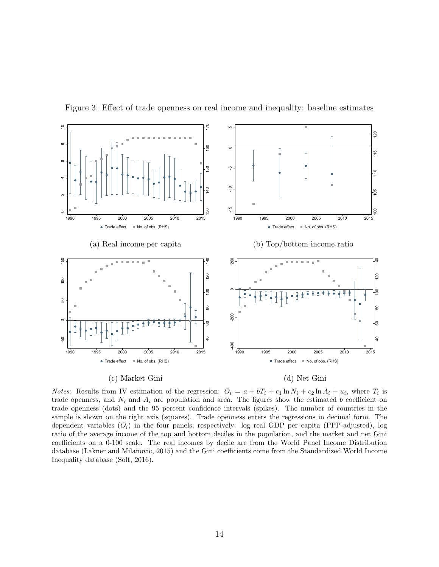

Figure 3: Effect of trade openness on real income and inequality: baseline estimates

*Notes:* Results from IV estimation of the regression:  $O_i = a + bT_i + c_1 \ln N_i + c_2 \ln A_i + u_i$ , where  $T_i$  is trade openness, and  $N_i$  and  $A_i$  are population and area. The figures show the estimated b coefficient on trade openness (dots) and the 95 percent confidence intervals (spikes). The number of countries in the sample is shown on the right axis (squares). Trade openness enters the regressions in decimal form. The dependent variables  $(O_i)$  in the four panels, respectively: log real GDP per capita (PPP-adjusted), log ratio of the average income of the top and bottom deciles in the population, and the market and net Gini coefficients on a 0-100 scale. The real incomes by decile are from the World Panel Income Distribution database (Lakner and Milanovic, 2015) and the Gini coefficients come from the Standardized World Income Inequality database (Solt, 2016).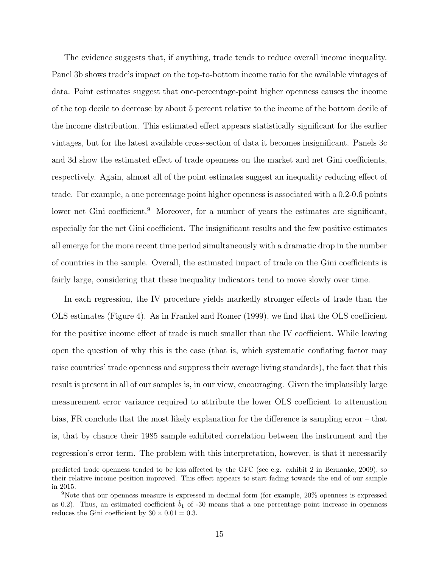The evidence suggests that, if anything, trade tends to reduce overall income inequality. Panel 3b shows trade's impact on the top-to-bottom income ratio for the available vintages of data. Point estimates suggest that one-percentage-point higher openness causes the income of the top decile to decrease by about 5 percent relative to the income of the bottom decile of the income distribution. This estimated effect appears statistically significant for the earlier vintages, but for the latest available cross-section of data it becomes insignificant. Panels 3c and 3d show the estimated effect of trade openness on the market and net Gini coefficients, respectively. Again, almost all of the point estimates suggest an inequality reducing effect of trade. For example, a one percentage point higher openness is associated with a 0.2-0.6 points lower net Gini coefficient.<sup>9</sup> Moreover, for a number of years the estimates are significant, especially for the net Gini coefficient. The insignificant results and the few positive estimates all emerge for the more recent time period simultaneously with a dramatic drop in the number of countries in the sample. Overall, the estimated impact of trade on the Gini coefficients is fairly large, considering that these inequality indicators tend to move slowly over time.

In each regression, the IV procedure yields markedly stronger effects of trade than the OLS estimates (Figure 4). As in Frankel and Romer (1999), we find that the OLS coefficient for the positive income effect of trade is much smaller than the IV coefficient. While leaving open the question of why this is the case (that is, which systematic conflating factor may raise countries' trade openness and suppress their average living standards), the fact that this result is present in all of our samples is, in our view, encouraging. Given the implausibly large measurement error variance required to attribute the lower OLS coefficient to attenuation bias, FR conclude that the most likely explanation for the difference is sampling error – that is, that by chance their 1985 sample exhibited correlation between the instrument and the regression's error term. The problem with this interpretation, however, is that it necessarily

predicted trade openness tended to be less affected by the GFC (see e.g. exhibit 2 in Bernanke, 2009), so their relative income position improved. This effect appears to start fading towards the end of our sample in 2015.

<sup>9</sup>Note that our openness measure is expressed in decimal form (for example, 20% openness is expressed as 0.2). Thus, an estimated coefficient  $b_1$  of -30 means that a one percentage point increase in openness reduces the Gini coefficient by  $30 \times 0.01 = 0.3$ .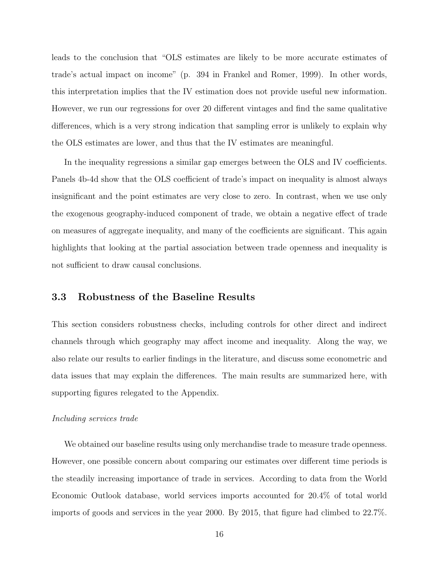leads to the conclusion that "OLS estimates are likely to be more accurate estimates of trade's actual impact on income" (p. 394 in Frankel and Romer, 1999). In other words, this interpretation implies that the IV estimation does not provide useful new information. However, we run our regressions for over 20 different vintages and find the same qualitative differences, which is a very strong indication that sampling error is unlikely to explain why the OLS estimates are lower, and thus that the IV estimates are meaningful.

In the inequality regressions a similar gap emerges between the OLS and IV coefficients. Panels 4b-4d show that the OLS coefficient of trade's impact on inequality is almost always insignificant and the point estimates are very close to zero. In contrast, when we use only the exogenous geography-induced component of trade, we obtain a negative effect of trade on measures of aggregate inequality, and many of the coefficients are significant. This again highlights that looking at the partial association between trade openness and inequality is not sufficient to draw causal conclusions.

## 3.3 Robustness of the Baseline Results

This section considers robustness checks, including controls for other direct and indirect channels through which geography may affect income and inequality. Along the way, we also relate our results to earlier findings in the literature, and discuss some econometric and data issues that may explain the differences. The main results are summarized here, with supporting figures relegated to the Appendix.

#### Including services trade

We obtained our baseline results using only merchandise trade to measure trade openness. However, one possible concern about comparing our estimates over different time periods is the steadily increasing importance of trade in services. According to data from the World Economic Outlook database, world services imports accounted for 20.4% of total world imports of goods and services in the year 2000. By 2015, that figure had climbed to 22.7%.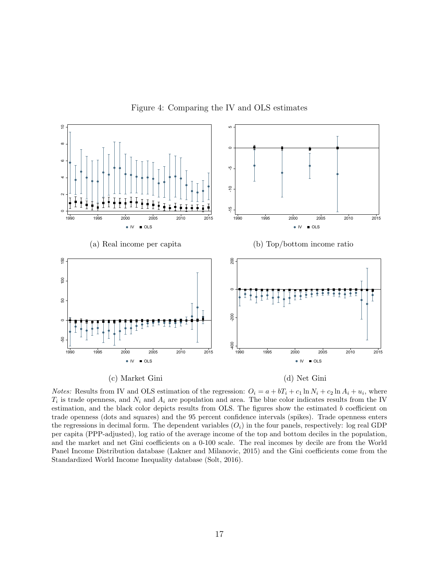

Figure 4: Comparing the IV and OLS estimates

*Notes:* Results from IV and OLS estimation of the regression:  $O_i = a + bT_i + c_1 \ln N_i + c_2 \ln A_i + u_i$ , where  $T_i$  is trade openness, and  $N_i$  and  $A_i$  are population and area. The blue color indicates results from the IV estimation, and the black color depicts results from OLS. The figures show the estimated b coefficient on trade openness (dots and squares) and the 95 percent confidence intervals (spikes). Trade openness enters the regressions in decimal form. The dependent variables  $(O_i)$  in the four panels, respectively: log real GDP per capita (PPP-adjusted), log ratio of the average income of the top and bottom deciles in the population, and the market and net Gini coefficients on a 0-100 scale. The real incomes by decile are from the World Panel Income Distribution database (Lakner and Milanovic, 2015) and the Gini coefficients come from the Standardized World Income Inequality database (Solt, 2016).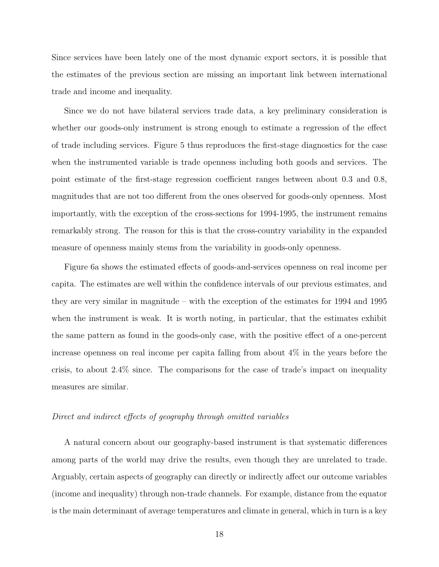Since services have been lately one of the most dynamic export sectors, it is possible that the estimates of the previous section are missing an important link between international trade and income and inequality.

Since we do not have bilateral services trade data, a key preliminary consideration is whether our goods-only instrument is strong enough to estimate a regression of the effect of trade including services. Figure 5 thus reproduces the first-stage diagnostics for the case when the instrumented variable is trade openness including both goods and services. The point estimate of the first-stage regression coefficient ranges between about 0.3 and 0.8, magnitudes that are not too different from the ones observed for goods-only openness. Most importantly, with the exception of the cross-sections for 1994-1995, the instrument remains remarkably strong. The reason for this is that the cross-country variability in the expanded measure of openness mainly stems from the variability in goods-only openness.

Figure 6a shows the estimated effects of goods-and-services openness on real income per capita. The estimates are well within the confidence intervals of our previous estimates, and they are very similar in magnitude – with the exception of the estimates for 1994 and 1995 when the instrument is weak. It is worth noting, in particular, that the estimates exhibit the same pattern as found in the goods-only case, with the positive effect of a one-percent increase openness on real income per capita falling from about 4% in the years before the crisis, to about 2.4% since. The comparisons for the case of trade's impact on inequality measures are similar.

#### Direct and indirect effects of geography through omitted variables

A natural concern about our geography-based instrument is that systematic differences among parts of the world may drive the results, even though they are unrelated to trade. Arguably, certain aspects of geography can directly or indirectly affect our outcome variables (income and inequality) through non-trade channels. For example, distance from the equator is the main determinant of average temperatures and climate in general, which in turn is a key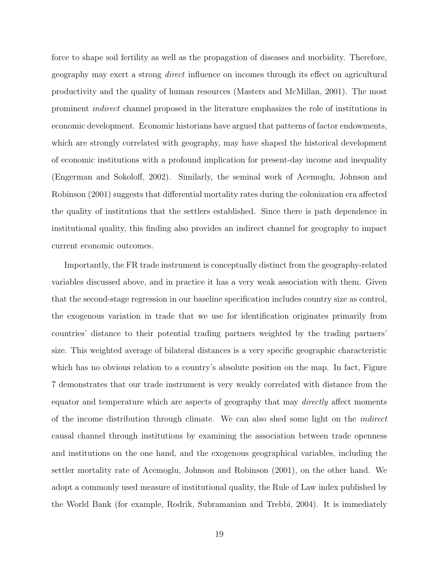force to shape soil fertility as well as the propagation of diseases and morbidity. Therefore, geography may exert a strong direct influence on incomes through its effect on agricultural productivity and the quality of human resources (Masters and McMillan, 2001). The most prominent indirect channel proposed in the literature emphasizes the role of institutions in economic development. Economic historians have argued that patterns of factor endowments, which are strongly correlated with geography, may have shaped the historical development of economic institutions with a profound implication for present-day income and inequality (Engerman and Sokoloff, 2002). Similarly, the seminal work of Acemoglu, Johnson and Robinson (2001) suggests that differential mortality rates during the colonization era affected the quality of institutions that the settlers established. Since there is path dependence in institutional quality, this finding also provides an indirect channel for geography to impact current economic outcomes.

Importantly, the FR trade instrument is conceptually distinct from the geography-related variables discussed above, and in practice it has a very weak association with them. Given that the second-stage regression in our baseline specification includes country size as control, the exogenous variation in trade that we use for identification originates primarily from countries' distance to their potential trading partners weighted by the trading partners' size. This weighted average of bilateral distances is a very specific geographic characteristic which has no obvious relation to a country's absolute position on the map. In fact, Figure 7 demonstrates that our trade instrument is very weakly correlated with distance from the equator and temperature which are aspects of geography that may *directly* affect moments of the income distribution through climate. We can also shed some light on the indirect causal channel through institutions by examining the association between trade openness and institutions on the one hand, and the exogenous geographical variables, including the settler mortality rate of Acemoglu, Johnson and Robinson (2001), on the other hand. We adopt a commonly used measure of institutional quality, the Rule of Law index published by the World Bank (for example, Rodrik, Subramanian and Trebbi, 2004). It is immediately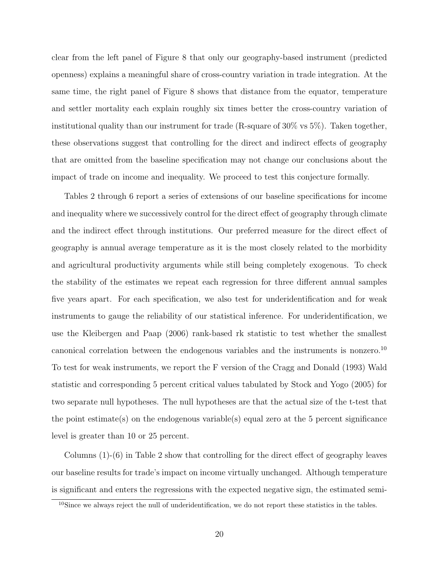clear from the left panel of Figure 8 that only our geography-based instrument (predicted openness) explains a meaningful share of cross-country variation in trade integration. At the same time, the right panel of Figure 8 shows that distance from the equator, temperature and settler mortality each explain roughly six times better the cross-country variation of institutional quality than our instrument for trade (R-square of 30% vs 5%). Taken together, these observations suggest that controlling for the direct and indirect effects of geography that are omitted from the baseline specification may not change our conclusions about the impact of trade on income and inequality. We proceed to test this conjecture formally.

Tables 2 through 6 report a series of extensions of our baseline specifications for income and inequality where we successively control for the direct effect of geography through climate and the indirect effect through institutions. Our preferred measure for the direct effect of geography is annual average temperature as it is the most closely related to the morbidity and agricultural productivity arguments while still being completely exogenous. To check the stability of the estimates we repeat each regression for three different annual samples five years apart. For each specification, we also test for underidentification and for weak instruments to gauge the reliability of our statistical inference. For underidentification, we use the Kleibergen and Paap (2006) rank-based rk statistic to test whether the smallest canonical correlation between the endogenous variables and the instruments is nonzero.<sup>10</sup> To test for weak instruments, we report the F version of the Cragg and Donald (1993) Wald statistic and corresponding 5 percent critical values tabulated by Stock and Yogo (2005) for two separate null hypotheses. The null hypotheses are that the actual size of the t-test that the point estimate(s) on the endogenous variable(s) equal zero at the 5 percent significance level is greater than 10 or 25 percent.

Columns (1)-(6) in Table 2 show that controlling for the direct effect of geography leaves our baseline results for trade's impact on income virtually unchanged. Although temperature is significant and enters the regressions with the expected negative sign, the estimated semi-

 $10$ Since we always reject the null of underidentification, we do not report these statistics in the tables.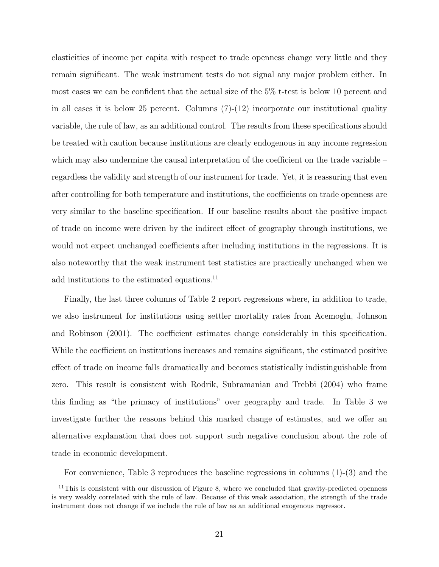elasticities of income per capita with respect to trade openness change very little and they remain significant. The weak instrument tests do not signal any major problem either. In most cases we can be confident that the actual size of the 5% t-test is below 10 percent and in all cases it is below 25 percent. Columns (7)-(12) incorporate our institutional quality variable, the rule of law, as an additional control. The results from these specifications should be treated with caution because institutions are clearly endogenous in any income regression which may also undermine the causal interpretation of the coefficient on the trade variable – regardless the validity and strength of our instrument for trade. Yet, it is reassuring that even after controlling for both temperature and institutions, the coefficients on trade openness are very similar to the baseline specification. If our baseline results about the positive impact of trade on income were driven by the indirect effect of geography through institutions, we would not expect unchanged coefficients after including institutions in the regressions. It is also noteworthy that the weak instrument test statistics are practically unchanged when we add institutions to the estimated equations.<sup>11</sup>

Finally, the last three columns of Table 2 report regressions where, in addition to trade, we also instrument for institutions using settler mortality rates from Acemoglu, Johnson and Robinson (2001). The coefficient estimates change considerably in this specification. While the coefficient on institutions increases and remains significant, the estimated positive effect of trade on income falls dramatically and becomes statistically indistinguishable from zero. This result is consistent with Rodrik, Subramanian and Trebbi (2004) who frame this finding as "the primacy of institutions" over geography and trade. In Table 3 we investigate further the reasons behind this marked change of estimates, and we offer an alternative explanation that does not support such negative conclusion about the role of trade in economic development.

For convenience, Table 3 reproduces the baseline regressions in columns (1)-(3) and the

 $11$ This is consistent with our discussion of Figure 8, where we concluded that gravity-predicted openness is very weakly correlated with the rule of law. Because of this weak association, the strength of the trade instrument does not change if we include the rule of law as an additional exogenous regressor.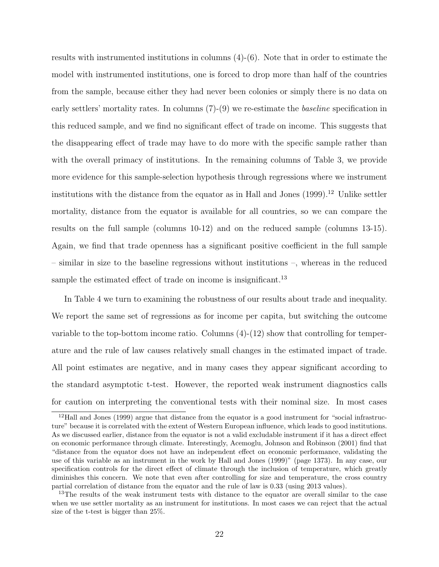results with instrumented institutions in columns (4)-(6). Note that in order to estimate the model with instrumented institutions, one is forced to drop more than half of the countries from the sample, because either they had never been colonies or simply there is no data on early settlers' mortality rates. In columns (7)-(9) we re-estimate the baseline specification in this reduced sample, and we find no significant effect of trade on income. This suggests that the disappearing effect of trade may have to do more with the specific sample rather than with the overall primacy of institutions. In the remaining columns of Table 3, we provide more evidence for this sample-selection hypothesis through regressions where we instrument institutions with the distance from the equator as in Hall and Jones  $(1999).<sup>12</sup>$  Unlike settler mortality, distance from the equator is available for all countries, so we can compare the results on the full sample (columns 10-12) and on the reduced sample (columns 13-15). Again, we find that trade openness has a significant positive coefficient in the full sample – similar in size to the baseline regressions without institutions –, whereas in the reduced sample the estimated effect of trade on income is insignificant.<sup>13</sup>

In Table 4 we turn to examining the robustness of our results about trade and inequality. We report the same set of regressions as for income per capita, but switching the outcome variable to the top-bottom income ratio. Columns (4)-(12) show that controlling for temperature and the rule of law causes relatively small changes in the estimated impact of trade. All point estimates are negative, and in many cases they appear significant according to the standard asymptotic t-test. However, the reported weak instrument diagnostics calls for caution on interpreting the conventional tests with their nominal size. In most cases

<sup>12</sup>Hall and Jones (1999) argue that distance from the equator is a good instrument for "social infrastructure" because it is correlated with the extent of Western European influence, which leads to good institutions. As we discussed earlier, distance from the equator is not a valid excludable instrument if it has a direct effect on economic performance through climate. Interestingly, Acemoglu, Johnson and Robinson (2001) find that "distance from the equator does not have an independent effect on economic performance, validating the use of this variable as an instrument in the work by Hall and Jones (1999)" (page 1373). In any case, our specification controls for the direct effect of climate through the inclusion of temperature, which greatly diminishes this concern. We note that even after controlling for size and temperature, the cross country partial correlation of distance from the equator and the rule of law is 0.33 (using 2013 values).

<sup>&</sup>lt;sup>13</sup>The results of the weak instrument tests with distance to the equator are overall similar to the case when we use settler mortality as an instrument for institutions. In most cases we can reject that the actual size of the t-test is bigger than 25%.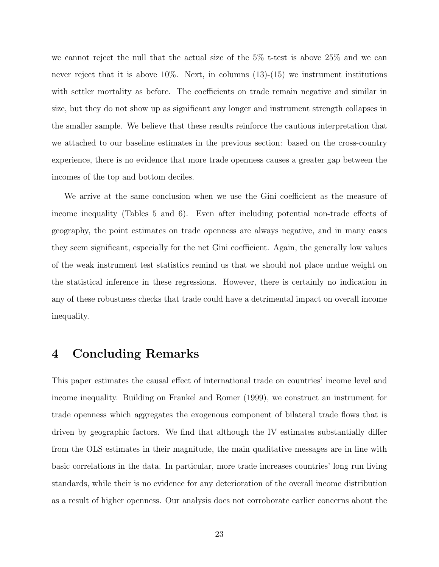we cannot reject the null that the actual size of the 5% t-test is above 25% and we can never reject that it is above  $10\%$ . Next, in columns  $(13)-(15)$  we instrument institutions with settler mortality as before. The coefficients on trade remain negative and similar in size, but they do not show up as significant any longer and instrument strength collapses in the smaller sample. We believe that these results reinforce the cautious interpretation that we attached to our baseline estimates in the previous section: based on the cross-country experience, there is no evidence that more trade openness causes a greater gap between the incomes of the top and bottom deciles.

We arrive at the same conclusion when we use the Gini coefficient as the measure of income inequality (Tables 5 and 6). Even after including potential non-trade effects of geography, the point estimates on trade openness are always negative, and in many cases they seem significant, especially for the net Gini coefficient. Again, the generally low values of the weak instrument test statistics remind us that we should not place undue weight on the statistical inference in these regressions. However, there is certainly no indication in any of these robustness checks that trade could have a detrimental impact on overall income inequality.

## 4 Concluding Remarks

This paper estimates the causal effect of international trade on countries' income level and income inequality. Building on Frankel and Romer (1999), we construct an instrument for trade openness which aggregates the exogenous component of bilateral trade flows that is driven by geographic factors. We find that although the IV estimates substantially differ from the OLS estimates in their magnitude, the main qualitative messages are in line with basic correlations in the data. In particular, more trade increases countries' long run living standards, while their is no evidence for any deterioration of the overall income distribution as a result of higher openness. Our analysis does not corroborate earlier concerns about the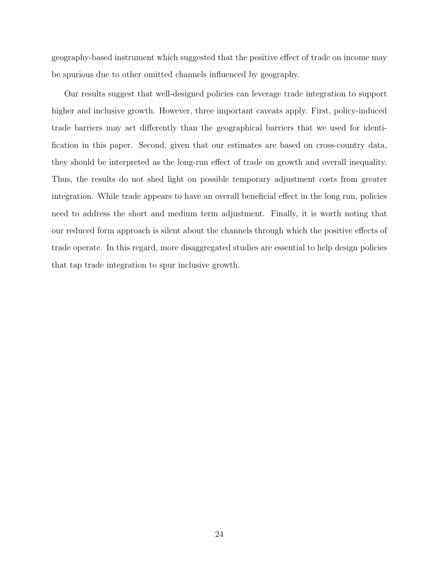geography-based instrument which suggested that the positive effect of trade on income may be spurious due to other omitted channels influenced by geography.

Our results suggest that well-designed policies can leverage trade integration to support higher and inclusive growth. However, three important caveats apply. First, policy-induced trade barriers may act differently than the geographical barriers that we used for identification in this paper. Second, given that our estimates are based on cross-country data, they should be interpreted as the long-run effect of trade on growth and overall inequality. Thus, the results do not shed light on possible temporary adjustment costs from greater integration. While trade appears to have an overall beneficial effect in the long run, policies need to address the short and medium term adjustment. Finally, it is worth noting that our reduced form approach is silent about the channels through which the positive effects of trade operate. In this regard, more disaggregated studies are essential to help design policies that tap trade integration to spur inclusive growth.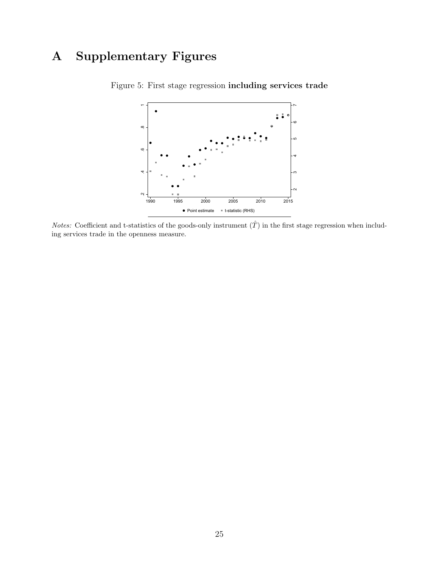# A Supplementary Figures



Figure 5: First stage regression including services trade

*Notes:* Coefficient and t-statistics of the goods-only instrument  $(\hat{T})$  in the first stage regression when including services trade in the openness measure.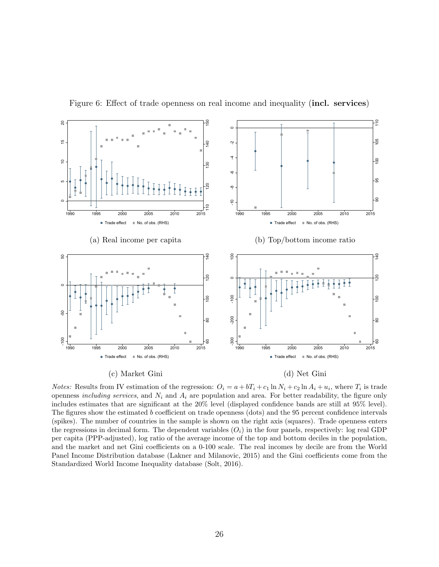

Figure 6: Effect of trade openness on real income and inequality (incl. services)

*Notes:* Results from IV estimation of the regression:  $O_i = a + bT_i + c_1 \ln N_i + c_2 \ln A_i + u_i$ , where  $T_i$  is trade openness *including services*, and  $N_i$  and  $A_i$  are population and area. For better readability, the figure only includes estimates that are significant at the 20% level (displayed confidence bands are still at 95% level). The figures show the estimated b coefficient on trade openness (dots) and the 95 percent confidence intervals (spikes). The number of countries in the sample is shown on the right axis (squares). Trade openness enters the regressions in decimal form. The dependent variables  $(O_i)$  in the four panels, respectively: log real GDP per capita (PPP-adjusted), log ratio of the average income of the top and bottom deciles in the population, and the market and net Gini coefficients on a 0-100 scale. The real incomes by decile are from the World Panel Income Distribution database (Lakner and Milanovic, 2015) and the Gini coefficients come from the Standardized World Income Inequality database (Solt, 2016).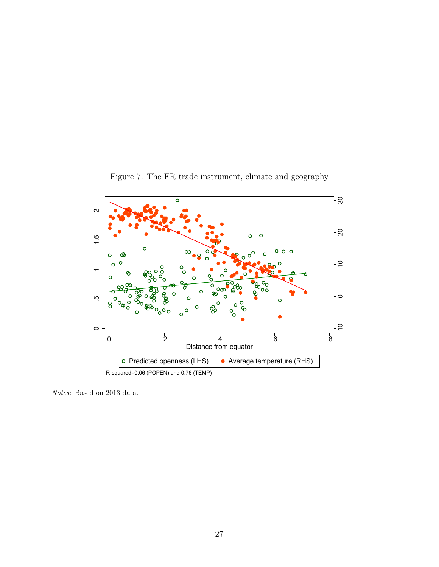

Figure 7: The FR trade instrument, climate and geography

Notes: Based on 2013 data.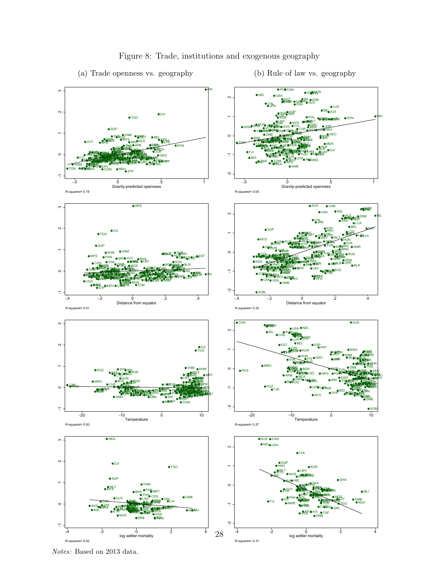

## Figure 8: Trade, institutions and exogenous geography

Notes: Based on 2013 data.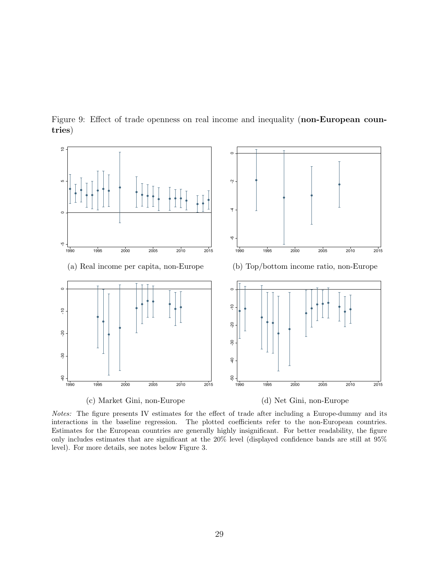

Figure 9: Effect of trade openness on real income and inequality (non-European countries)

Notes: The figure presents IV estimates for the effect of trade after including a Europe-dummy and its interactions in the baseline regression. The plotted coefficients refer to the non-European countries. Estimates for the European countries are generally highly insignificant. For better readability, the figure only includes estimates that are significant at the 20% level (displayed confidence bands are still at 95% level). For more details, see notes below Figure 3.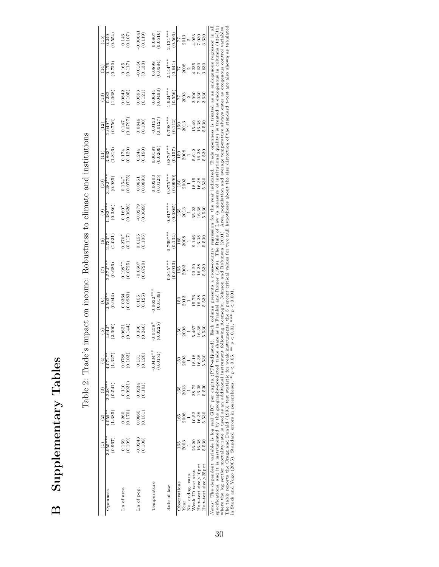Supplementary Tables B Supplementary Tables  $\mathbf{D}$ 

|                      |                       | ลิ                 | ලි                    | 4                                               | $\widehat{5}$                                              | $\widehat{6}$                                                |                                                                     | $\circ$                                                              | $\widehat{e}$                       | $\left( \frac{1}{10} \right)$                          | $\left(\frac{1}{1}\right)$                                 | (12)                  | $\left(\frac{13}{2}\right)$                                        | $\left( \frac{14}{2} \right)$               | (15)                                             |
|----------------------|-----------------------|--------------------|-----------------------|-------------------------------------------------|------------------------------------------------------------|--------------------------------------------------------------|---------------------------------------------------------------------|----------------------------------------------------------------------|-------------------------------------|--------------------------------------------------------|------------------------------------------------------------|-----------------------|--------------------------------------------------------------------|---------------------------------------------|--------------------------------------------------|
| Openness             | $3.955***$<br>(0.967) | (1.385)<br>4.059** | $2.228***$<br>(0.541) | $1.071**$<br>(1.327)                            | (2.300)<br>4.642                                           | (0.944)<br>$2.502**$                                         | $2.572***$<br>(0.686)                                               | $2.733**$<br>(1.021)                                                 | $1.383***$<br>(0.386)               | $3.282***$<br>(0.985)                                  | (1.816)<br>$\frac{863^*}{ }$                               | (0.756)<br>$2.049*$   | (1.068)<br>0.282                                                   | (0.720)<br>0.176                            | (0.554)<br>0.249                                 |
|                      |                       |                    |                       |                                                 |                                                            |                                                              |                                                                     |                                                                      |                                     |                                                        |                                                            |                       |                                                                    |                                             |                                                  |
| Ln of area           | 0.169                 | 0.260              | 0.110                 | (0.0788)                                        |                                                            | (0.0364)                                                     | $0.198**$<br>(0.0725)                                               | $0.270*$<br>(0.117)                                                  | $\frac{0.160^{*}}{(0.0636)}$        | $(0.154$ * $(0.0775)$                                  |                                                            |                       |                                                                    | $\binom{0.165}{0.117}$                      |                                                  |
|                      | (0.109)               | (0.170)            | (0.0931)              |                                                 | $0.0621$<br>$(0.144)$                                      |                                                              |                                                                     |                                                                      |                                     |                                                        | $(0.174$<br>$(0.120)$                                      | (1620.0000)           | (0.0842)                                                           |                                             | (0.146)                                          |
| Ln of pop.           | 0.0243                |                    | 0.234                 |                                                 |                                                            |                                                              |                                                                     |                                                                      |                                     |                                                        |                                                            |                       |                                                                    |                                             |                                                  |
|                      | (0.108)               | (0.151)            | (0.101)               | $\begin{array}{c} 0.131 \\ (0.120) \end{array}$ | (0.336)                                                    | $\frac{0.155}{(0.125)}$                                      | $(0.0607$<br>$(0.0720)$                                             | (0.0155)                                                             | (0.0279)                            | $\begin{array}{c} 0.0851 \\ (0.0893) \end{array}$      | $(0.244)$<br>$(0.190)$                                     | (0.100)               | (0.0593)                                                           | (0.1133)                                    | (0.119)                                          |
| Temperature          |                       |                    |                       | $0.0434***$                                     | $0.0459*$                                                  | $0.0632***$                                                  |                                                                     |                                                                      |                                     |                                                        |                                                            |                       |                                                                    |                                             |                                                  |
|                      |                       |                    |                       | (0.0151)                                        | (0.0225)                                                   | (0.0136)                                                     |                                                                     |                                                                      |                                     | (0.00203)                                              | (6.0209)                                                   | $-0.0153$<br>(0.0127) | $(0.0644$<br>$(0.0493)$                                            | $(0.0898$<br>$(0.0584)$                     | $\frac{0.0867}{(0.0516)}$                        |
| Rule of law          |                       |                    |                       |                                                 |                                                            |                                                              | $0.815***$                                                          | $0.769***$                                                           | $0.817***$                          | $0.875***$                                             | $0.870***$                                                 | $0.798***$            | $.924***$                                                          | $2.144***$<br>(0.641)                       | $2.121***$                                       |
|                      |                       |                    |                       |                                                 |                                                            |                                                              | (0.0913)                                                            | (0.134)                                                              | 0.0865                              | 0.0990                                                 | (0.157)                                                    | (0.112)               | (0.556)                                                            |                                             | (0.566)                                          |
| Observations         | 165                   | 165                | 165                   | 150                                             | $\frac{60}{20}$                                            |                                                              |                                                                     |                                                                      |                                     | $\frac{150}{2003}$                                     | <b>Sd</b>                                                  |                       | $\frac{77}{1003}$                                                  |                                             |                                                  |
| Year                 | 2003                  | 2008               | 2013                  | 2003                                            |                                                            |                                                              |                                                                     |                                                                      |                                     |                                                        |                                                            | $\frac{150}{2013}$    |                                                                    |                                             |                                                  |
| No. endog. vars.     |                       |                    |                       |                                                 |                                                            |                                                              |                                                                     |                                                                      |                                     |                                                        |                                                            |                       |                                                                    |                                             |                                                  |
| Weak ID test stat.   | 26.20                 | 10.52              | 38.72                 | 18.18                                           | $\begin{array}{c} 2008 \\ 1 \\ 5.467 \\ 16.38 \end{array}$ | $\frac{150}{2013}$<br>$\frac{1}{5}$ .76<br>$\frac{1}{5}$ .38 | $\begin{array}{c} 165 \\ 2003 \\ 103 \\ 23.20 \\ 16.38 \end{array}$ | $\begin{array}{c} 165 \\ 2008 \\ -146 \\ 9.146 \\ 16.38 \end{array}$ | $\frac{165}{2013}$<br>2013<br>35.38 | $\begin{array}{c} 18.15 \\ 16.38 \\ 5.530 \end{array}$ | $\begin{array}{c} 2008 \\ 1 \\ 5.612 \\ 16.38 \end{array}$ | 15.49<br>16.38        | $\begin{array}{c}\n 2 \\  3.900 \\  7.030 \\  8.300\n \end{array}$ | $\frac{77}{2008}$<br>2008<br>4.235<br>7.030 | $\frac{7}{2}$<br>2013<br>4.953<br>7.030<br>7.030 |
| Ho:t-test size>10pct | 16.38                 | 16.38              | 16.38                 | 16.38                                           |                                                            |                                                              |                                                                     |                                                                      |                                     |                                                        |                                                            |                       |                                                                    |                                             |                                                  |
| Ho:t-test size>25pct | 5.530                 | 5.530              | 5.530                 | 5.530                                           | 5.530                                                      | 5.530                                                        | 5.530                                                               | 5.530                                                                | 5.530                               |                                                        | 5.530                                                      | 5.530                 |                                                                    | 3.630                                       |                                                  |

Table 2: Trade's impact on income: Robustness to climate and institutions Table 2: Trade's impact on income: Robustness to climate and institutions  $\frac{1607-1685 \text{ } 8806 \times 250 \text{ }$  and  $\frac{1}{2}$  and  $\frac{1}{2}$  and  $\frac{1}{2}$  and  $\frac{1}{2}$  and  $\frac{1}{2}$  and  $\frac{1}{2}$  and  $\frac{1}{2}$  and  $\frac{1}{2}$  and  $\frac{1}{2}$  and  $\frac{1}{2}$  and  $\frac{1}{2}$  and  $\frac{1}{2}$  and  $\frac{1}{2}$  and Notes: The dependent variable is log real GDP per capita (PPP-adjusted). Each column presents a cross-country regression for the year indicated. Trade openness is treated as an endogenous regressor in all The table reports the Cragg and Donald (1993) test statistic for weak instruments; the 5 percent critical values for two null hypotheses about the size distortion of the standard t-test are also shown as tabulated specifications, and it is instrumented by the geography-predicted trade share as in Frankel and Romer (1999). The Rule of Law (a measure of institutional quality) is treated as endogenous in columns (12)-(15) where the log settler mortality rate is used as an additional instrument following Acemoglu, Johnson and Robinson (2001). Area, population and average temperature always enter as exogenous control variables. in Stock and Yogo (2005). Standard errors in parentheses. \*  $p < 0.05$ , \*\*  $p < 0.01$ , \*\*\*  $p < 0.001$ .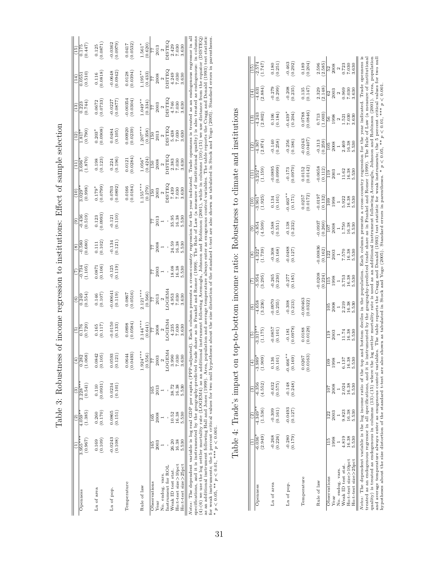| s contest to the contest of the contest of the contest of the contest of the contest of the contest of the contest of the contest of the contest of the contest of the contest of the contest of the contest of the contest of<br>I<br>֖֖֖֖֖֖֖֧ׅ֖ׅ֪֪֪ׅ֪֪ׅ֪֧֪֧֪֧֪֧֚֚֚֚֚֚֚֚֚֚֚֚֚֚֚֚֚֚֚֚֚֬֝֬֝֓֓֬֝֬֝֬֝֬֝֬<br>۶)<br>ا |
|------------------------------------------------------------------------------------------------------------------------------------------------------------------------------------------------------------------------------------------------------------------------------------------------------------------|
| - こうしゃ - キャキャキャキャキャキャー くしゃ くうさく こうしょう うらこく こうしょう こうこうしょう                                                                                                                                                                                                                                                         |
| j<br>)<br>l                                                                                                                                                                                                                                                                                                      |
| i<br>J<br>$5 - 2$                                                                                                                                                                                                                                                                                                |
| j<br>i<br>ĺ<br>I                                                                                                                                                                                                                                                                                                 |
| -<br>F<br>l                                                                                                                                                                                                                                                                                                      |

|                                                                                                                                                                                             |                       | $\overline{c}$      | ලි                    |                                                                         | $\widehat{5}$                                                                  | $\widehat{\circ}$                                                                                                                   | E                                              | $\circ$                                       | $\widehat{e}$                                    | $\left( \frac{1}{10} \right)$                     |                                                 | (12)                                                                     | $^{(13)}$                                      | (14)                                                                                           | (15)                                              |
|---------------------------------------------------------------------------------------------------------------------------------------------------------------------------------------------|-----------------------|---------------------|-----------------------|-------------------------------------------------------------------------|--------------------------------------------------------------------------------|-------------------------------------------------------------------------------------------------------------------------------------|------------------------------------------------|-----------------------------------------------|--------------------------------------------------|---------------------------------------------------|-------------------------------------------------|--------------------------------------------------------------------------|------------------------------------------------|------------------------------------------------------------------------------------------------|---------------------------------------------------|
| Openness                                                                                                                                                                                    | $3.955***$<br>(0.967) | (1.385)<br>$4.059*$ | $2.228***$<br>(0.541) | $\frac{0.282}{(1.068)}$                                                 | (0.720)<br>0.176                                                               | (0.554)                                                                                                                             | (1.105)<br>0.734                               | (0.680)<br>$-0.580$                           | (0.519)<br>$-0.436$                              | (0.998)<br>$3.029*$                               | (1.870)<br>$3.696*$                             | (0.790)<br>$1.817*$                                                      | $\frac{0.223}{0.744}$                          | (0.510)<br>0.0551                                                                              | (0.447)<br>0.175                                  |
| Ln of area                                                                                                                                                                                  | (0.109)<br>0.169      | (0.170)<br>0.260    | (0.0931)<br>0.110     | $\begin{array}{c} 0.0842 \\ (0.105) \end{array}$                        | $\frac{0.165}{(0.117)}$                                                        | $\frac{0.146}{(0.107)}$                                                                                                             | $\begin{array}{c} 0.0871 \\ 0.106 \end{array}$ | $\begin{array}{c} 0.111 \\ 0.102 \end{array}$ | $\begin{array}{c} 0.123 \\ (0.0993) \end{array}$ | 0.0799<br>$0.179*$                                | $\begin{array}{c} 0.198 \\ (0.123) \end{array}$ | (0.0908)<br>$0.203*$                                                     | 0.0733<br>0.0672                               | $\begin{array}{c} 0.116 \\ (0.0818) \end{array}$                                               | $\frac{0.125}{(0.0871)}$                          |
| Ln of pop.                                                                                                                                                                                  | 0.0243<br>(0.108)     | 0.865<br>(0.151)    | 0.0234<br>(0.101)     | (0.0593)                                                                | $-0.0150$<br>(0.133)                                                           | 0.0064<br>(0.119)                                                                                                                   | (0.119)                                        | $-0.134$<br>$(0.121)$                         | (0.121)                                          | $\begin{array}{c} 0.0703 \\ (0.0892) \end{array}$ | $(0.224)$<br>$(0.196)$                          | (0.105)                                                                  | 0.0227<br>(7780.0)                             | $-0.0648$<br>$(0.0942)$                                                                        | (6260.0)<br>0.0362                                |
| Temperature                                                                                                                                                                                 |                       |                     |                       | $(0.0644$<br>$(0.0493)$                                                 | 0.0584<br>0.0898                                                               | $\begin{array}{c} 0.0867 \\ 0.0516 \end{array}$                                                                                     |                                                |                                               |                                                  | 0.0166<br>(0.0184)                                | $\begin{array}{c} 0.0121 \\ 0.0284 \end{array}$ | (0.00920)                                                                | 0.00354<br>(0.0304)                            | $\begin{array}{c} 0.0128 \\ (0.0394) \end{array}$                                              | $\begin{array}{c} 0.0417 \\ (0.0532) \end{array}$ |
| Rule of law                                                                                                                                                                                 |                       |                     |                       | $1.924***$<br>(0.556)                                                   | $2.144***$<br>(0.641)                                                          | $2.121***$<br>(0.566)                                                                                                               |                                                |                                               |                                                  | $.155***$<br>(0.279)                              | $1.056*$<br>(0.424)                             | $.207***$<br>(0.358)                                                     | $0.049**$<br>(0.334)                           | $1.195***$<br>(0.433)                                                                          | 1.561*<br>(0.620)                                 |
| Observations<br>Year                                                                                                                                                                        | 2003                  | 2008<br>165         | 2013<br>165           | 2003<br>77                                                              | $\begin{array}{r} \hline 77 \\ 2008 \\ 2 \\ \hline 10 \text{GBM4} \end{array}$ | 77                                                                                                                                  |                                                |                                               | 2013                                             | 2003<br><b>150</b>                                | 2008<br>150                                     | $\begin{array}{c} 150 \\ 2013 \end{array}$                               | $\frac{77}{2003}$<br>DISTEC<br>DISTEC<br>4.746 | $\frac{77}{2008}$                                                                              | $\frac{77}{71}$<br>2013<br>DISTEQ<br>2.429        |
| No. endog. vars.                                                                                                                                                                            |                       |                     |                       | $\mathfrak{a}$                                                          |                                                                                | $\begin{array}{c} 2013 \\ 2 \\ \text{LOGEM} \end{array}$                                                                            | $\frac{2003}{1}$                               |                                               |                                                  | 2<br>DISTEC                                       | $\sim$                                          |                                                                          |                                                |                                                                                                |                                                   |
| Instrument for ROL                                                                                                                                                                          |                       |                     |                       |                                                                         |                                                                                |                                                                                                                                     | ï                                              |                                               |                                                  |                                                   | <b>JELEST</b>                                   | $\begin{array}{c} \text{2} \\ \text{DISTEC} \\ \text{5.438} \end{array}$ |                                                | <b>JHISIC</b>                                                                                  |                                                   |
| Weak ID test stat.                                                                                                                                                                          | 26.20                 | 0.52                | 38.72                 |                                                                         | 4.235                                                                          | 4.953                                                                                                                               | $\frac{18.08}{16.38}$                          | 24.59                                         | 35.95                                            | 7.439                                             | 2.383                                           |                                                                          |                                                | 4.249                                                                                          |                                                   |
| Ho:t-test size>25pct<br>Ho:t-test size>10pct                                                                                                                                                | 16.38<br>5.530        | 5.530<br>16.38      | 16.38<br>5.530        | $\begin{array}{c} \text{LOGEM4} \\ 3.990 \\ 7.030 \\ 3.630 \end{array}$ | 7.030<br>3.630                                                                 | 7.030<br>3.630                                                                                                                      | 5.530                                          | 16.38<br>.530                                 | 6.38<br>5.530                                    | 7.030<br>3.630                                    | 3.630<br>7.030                                  | 7.030<br>3.630                                                           | 7.030<br>3.630                                 | 7.030<br>3.630                                                                                 | 7.030<br>3.630                                    |
| enerifications and it is instrumented by the geography-predicted trade share as in Frankel and Bomer (1999).<br><i>Notes:</i> The dependent variable is log real GDP per capita $(PPP-adj)$ |                       |                     |                       | usted)                                                                  |                                                                                | Each column presents a cross-country regression for the year indicated. Trade openness is treated as an endogenous regressor in all |                                                |                                               |                                                  |                                                   |                                                 |                                                                          |                                                | The Bule of Law (a measure of institutional cuality) is also treated as endocenous: in columns |                                                   |

specifications, and it is instrumented by the geography-predicted trade share as in Frankel and Romer (1999). The Rule of Law (a measure of institutional quality) is also treated as endogenous: in columns  $(4)-(6)$  we use the log settler mortality rate (LOGEM4) as an additional instrument following Acemoglu, Johnson and Robinson (2001), while in columns (10)-(15) we use distance from the equator (DISTEQ) as an additional instrument following Hall and Jones (1999). Area, population and average temperature always enter as exogenous control variables. The table reports the Cragg and Donald (1993) test statistic for weak instruments; the 5 percent critical values for two null hypotheses about the size distortion of the standard t-test are also shown as tabulated in Stock and Yogo (2005). Standard errors in parentheses. specincations, and it is instrumented by the geography-predicted trade share sin Frankel and Romer (1999). The Rule of Law (a measure of institutional quality) is also tract as "experiment of instrument of  $(4)$ -(6) we us  ${}^*p < 0.05, {}^*{}^*p < 0.01, {}^*{}^*{}^*p < 0.001.$ 

|            | i                                                                                                                                                                                                                                                                                                                                                |
|------------|--------------------------------------------------------------------------------------------------------------------------------------------------------------------------------------------------------------------------------------------------------------------------------------------------------------------------------------------------|
|            |                                                                                                                                                                                                                                                                                                                                                  |
|            |                                                                                                                                                                                                                                                                                                                                                  |
|            |                                                                                                                                                                                                                                                                                                                                                  |
|            |                                                                                                                                                                                                                                                                                                                                                  |
|            |                                                                                                                                                                                                                                                                                                                                                  |
|            |                                                                                                                                                                                                                                                                                                                                                  |
|            |                                                                                                                                                                                                                                                                                                                                                  |
|            |                                                                                                                                                                                                                                                                                                                                                  |
|            |                                                                                                                                                                                                                                                                                                                                                  |
|            |                                                                                                                                                                                                                                                                                                                                                  |
|            |                                                                                                                                                                                                                                                                                                                                                  |
|            |                                                                                                                                                                                                                                                                                                                                                  |
|            |                                                                                                                                                                                                                                                                                                                                                  |
|            |                                                                                                                                                                                                                                                                                                                                                  |
|            |                                                                                                                                                                                                                                                                                                                                                  |
|            |                                                                                                                                                                                                                                                                                                                                                  |
|            |                                                                                                                                                                                                                                                                                                                                                  |
|            |                                                                                                                                                                                                                                                                                                                                                  |
|            |                                                                                                                                                                                                                                                                                                                                                  |
|            |                                                                                                                                                                                                                                                                                                                                                  |
|            |                                                                                                                                                                                                                                                                                                                                                  |
|            |                                                                                                                                                                                                                                                                                                                                                  |
|            |                                                                                                                                                                                                                                                                                                                                                  |
|            | ֖֖֖֖֖֧֧֧֚֚֚֚֚֚֚֚֚֚֚֚֚֚֚֚֚֚֚֚֡֝֟֓֡֞֟֓֡֞֟֓֡֟֓֞֟֓֡֟֓֞֟֡֡֬֝֬                                                                                                                                                                                                                                                                                         |
|            | I<br>j                                                                                                                                                                                                                                                                                                                                           |
|            |                                                                                                                                                                                                                                                                                                                                                  |
|            |                                                                                                                                                                                                                                                                                                                                                  |
|            |                                                                                                                                                                                                                                                                                                                                                  |
|            |                                                                                                                                                                                                                                                                                                                                                  |
|            |                                                                                                                                                                                                                                                                                                                                                  |
|            |                                                                                                                                                                                                                                                                                                                                                  |
|            |                                                                                                                                                                                                                                                                                                                                                  |
|            | くてく くうせき                                                                                                                                                                                                                                                                                                                                         |
|            |                                                                                                                                                                                                                                                                                                                                                  |
|            |                                                                                                                                                                                                                                                                                                                                                  |
|            |                                                                                                                                                                                                                                                                                                                                                  |
|            |                                                                                                                                                                                                                                                                                                                                                  |
|            |                                                                                                                                                                                                                                                                                                                                                  |
| ĺ          |                                                                                                                                                                                                                                                                                                                                                  |
|            |                                                                                                                                                                                                                                                                                                                                                  |
|            |                                                                                                                                                                                                                                                                                                                                                  |
|            |                                                                                                                                                                                                                                                                                                                                                  |
|            |                                                                                                                                                                                                                                                                                                                                                  |
|            |                                                                                                                                                                                                                                                                                                                                                  |
|            |                                                                                                                                                                                                                                                                                                                                                  |
|            |                                                                                                                                                                                                                                                                                                                                                  |
|            |                                                                                                                                                                                                                                                                                                                                                  |
|            |                                                                                                                                                                                                                                                                                                                                                  |
|            |                                                                                                                                                                                                                                                                                                                                                  |
|            |                                                                                                                                                                                                                                                                                                                                                  |
|            |                                                                                                                                                                                                                                                                                                                                                  |
|            |                                                                                                                                                                                                                                                                                                                                                  |
|            |                                                                                                                                                                                                                                                                                                                                                  |
|            |                                                                                                                                                                                                                                                                                                                                                  |
|            |                                                                                                                                                                                                                                                                                                                                                  |
|            |                                                                                                                                                                                                                                                                                                                                                  |
|            |                                                                                                                                                                                                                                                                                                                                                  |
|            |                                                                                                                                                                                                                                                                                                                                                  |
|            |                                                                                                                                                                                                                                                                                                                                                  |
|            |                                                                                                                                                                                                                                                                                                                                                  |
|            |                                                                                                                                                                                                                                                                                                                                                  |
|            |                                                                                                                                                                                                                                                                                                                                                  |
|            | where the condition of the condition of the condition of the condition of the condition of the condition of the condition of the condition of the condition of the condition of the condition of the condition of the conditio<br>- 10.1400 cm - 10.4400 cm - 10.0410 cm - 10.0410 cm - 10.0410 cm - 10.0410 cm - 10.0410 cm - 10.0410 cm - 10.0 |
|            |                                                                                                                                                                                                                                                                                                                                                  |
|            |                                                                                                                                                                                                                                                                                                                                                  |
|            |                                                                                                                                                                                                                                                                                                                                                  |
|            |                                                                                                                                                                                                                                                                                                                                                  |
|            |                                                                                                                                                                                                                                                                                                                                                  |
|            | 50000                                                                                                                                                                                                                                                                                                                                            |
|            |                                                                                                                                                                                                                                                                                                                                                  |
|            |                                                                                                                                                                                                                                                                                                                                                  |
|            |                                                                                                                                                                                                                                                                                                                                                  |
|            |                                                                                                                                                                                                                                                                                                                                                  |
|            |                                                                                                                                                                                                                                                                                                                                                  |
|            |                                                                                                                                                                                                                                                                                                                                                  |
|            |                                                                                                                                                                                                                                                                                                                                                  |
|            |                                                                                                                                                                                                                                                                                                                                                  |
|            |                                                                                                                                                                                                                                                                                                                                                  |
|            |                                                                                                                                                                                                                                                                                                                                                  |
|            |                                                                                                                                                                                                                                                                                                                                                  |
|            |                                                                                                                                                                                                                                                                                                                                                  |
|            |                                                                                                                                                                                                                                                                                                                                                  |
|            |                                                                                                                                                                                                                                                                                                                                                  |
|            |                                                                                                                                                                                                                                                                                                                                                  |
|            |                                                                                                                                                                                                                                                                                                                                                  |
|            |                                                                                                                                                                                                                                                                                                                                                  |
|            |                                                                                                                                                                                                                                                                                                                                                  |
| l          |                                                                                                                                                                                                                                                                                                                                                  |
|            |                                                                                                                                                                                                                                                                                                                                                  |
|            |                                                                                                                                                                                                                                                                                                                                                  |
|            |                                                                                                                                                                                                                                                                                                                                                  |
|            |                                                                                                                                                                                                                                                                                                                                                  |
|            | i                                                                                                                                                                                                                                                                                                                                                |
|            |                                                                                                                                                                                                                                                                                                                                                  |
|            |                                                                                                                                                                                                                                                                                                                                                  |
|            |                                                                                                                                                                                                                                                                                                                                                  |
|            |                                                                                                                                                                                                                                                                                                                                                  |
|            |                                                                                                                                                                                                                                                                                                                                                  |
| :<br> <br> | $\frac{1}{2}$                                                                                                                                                                                                                                                                                                                                    |

|                                                                                                                                                                                                                                                                                                                                                                                                |                     | ୍ର                  | $\widehat{3}$       | $\left( 4\right)$                | $\widehat{5}$                                                                                                                                                                                                                                                                                                                                                                                                              | $\hat{6}$                 | $\widehat{C}$          | $\circ$             | ම                   | $\frac{10}{1}$         | $\left(11\right)$      | (12)                             | $\left($ 13)                                      | (14)                  | $\begin{pmatrix} 15 \\ 0 \end{pmatrix}$       |
|------------------------------------------------------------------------------------------------------------------------------------------------------------------------------------------------------------------------------------------------------------------------------------------------------------------------------------------------------------------------------------------------|---------------------|---------------------|---------------------|----------------------------------|----------------------------------------------------------------------------------------------------------------------------------------------------------------------------------------------------------------------------------------------------------------------------------------------------------------------------------------------------------------------------------------------------------------------------|---------------------------|------------------------|---------------------|---------------------|------------------------|------------------------|----------------------------------|---------------------------------------------------|-----------------------|-----------------------------------------------|
| Openness                                                                                                                                                                                                                                                                                                                                                                                       | (2.949)<br>$-6.036$ | (1.536)<br>4.349    | (4.552)<br>$-6.356$ | (1.909)<br>$-3.989$              | (1.175)<br>$\frac{3.317}{ }$                                                                                                                                                                                                                                                                                                                                                                                               | $-4.658$<br>(3.236)       | (3.295)<br>$-5.954$    | (1.739)<br>$-4.322$ | (4.509)<br>$-5.854$ | (1.925)<br>3.961       | (1.159)<br>$3.252*$    | (2.874)<br>$-4.367$              | (2.802)<br>$-4.\overline{243}$                    | (2.884)<br>$-4.63$    | 1.747<br>$-2.574$                             |
| Ln of area                                                                                                                                                                                                                                                                                                                                                                                     | (0.226)<br>$-0.268$ | (0.161)<br>$-0.309$ | (0.575)<br>$-0.632$ | (0.101)<br>0.136                 | 0.0857<br>(0.101)                                                                                                                                                                                                                                                                                                                                                                                                          | $-0.0970$<br>(0.255)      | $-0.265$<br>(0.230)    | $-0.308$<br>(0.168) | $-0.588$<br>(0.551) | (0.101)<br>0.134       | 0.0895<br>0.0999       | (0.258)<br>$-0.140$              | $\frac{0.106}{(0.184)}$                           | $-0.279$<br>$(0.299)$ | $\frac{0.180}{0.251}$                         |
| Ln of pop.                                                                                                                                                                                                                                                                                                                                                                                     | (0.179)<br>$-0.280$ | 0.0493<br>(0.127)   | (0.248)<br>$-0.148$ | $-0.466**$<br>(0.169)            | 0.0978<br>$-0.181$                                                                                                                                                                                                                                                                                                                                                                                                         | $-0.308$<br>(0.213)       | (0.185)                | 0.0488<br>(0.127)   | (0.232)<br>$-0.138$ | $0.463**$<br>(0.171)   | 0.0970<br>$-0.173$     | (0.186)<br>$-0.256$              | (0.204)<br>$0.439*$                               | $-0.208$<br>$(0.235)$ | $-0.463$<br>$(0.292)$                         |
| Temperature                                                                                                                                                                                                                                                                                                                                                                                    |                     |                     |                     | 0.0163<br>0.0267                 | 0.0128)<br>0.0188                                                                                                                                                                                                                                                                                                                                                                                                          | 0.00463<br>(0.0322)       |                        |                     |                     | (0.0172)<br>0.257      | (0.0142)<br>0.0152     | $(0.0243)$<br>$(0.0407)$         | $\begin{array}{c} 0.0788 \\ (0.0846) \end{array}$ | (0.147)<br>0.135      | $\begin{array}{c} 0.189 \\ 0.204 \end{array}$ |
| Rule of law                                                                                                                                                                                                                                                                                                                                                                                    |                     |                     |                     |                                  |                                                                                                                                                                                                                                                                                                                                                                                                                            |                           | (0.224)                | 0.00836<br>(0.162)  | 0.0937<br>(0.260)   | 0.0197<br>0.132        | 0.0658<br>(0.112)      | $-0.313$<br>0.259)               | 1.003<br>0.713                                    | $\frac{2.329}{2.148}$ | (2.585)<br>2.596                              |
| Observations                                                                                                                                                                                                                                                                                                                                                                                   |                     |                     |                     | $^{109}$                         |                                                                                                                                                                                                                                                                                                                                                                                                                            | 105                       | 115                    | 122                 | $\overline{101}$    | 109                    | 119                    | 105                              | 56                                                | $\frac{62}{2003}$     | $\frac{52}{2008}$                             |
| No. endog. vars.<br>Year                                                                                                                                                                                                                                                                                                                                                                       | 1998                | 2003                | 2008                | 1998<br>$\overline{\phantom{0}}$ | 2003<br>$\overline{a}$                                                                                                                                                                                                                                                                                                                                                                                                     | $\frac{2008}{1}$<br>2.219 | 1998<br>$\overline{a}$ | 2003                | 2008                | 1998<br>$\overline{a}$ | 2003<br>$\overline{a}$ | 2008<br>$\overline{\phantom{a}}$ | 1998<br>$\frac{2}{1.521}$                         | $\frac{2}{0.969}$     |                                               |
| Weak ID test stat                                                                                                                                                                                                                                                                                                                                                                              | 4.819               | 9.823               | 2.024               | 6.137                            | 11.74                                                                                                                                                                                                                                                                                                                                                                                                                      |                           | 3.753                  | 7.570               | 1.750               | 5.922                  | 11.62                  | 2.469                            |                                                   |                       | $\frac{2}{0.723}$                             |
| Ho:t-test size>25pct<br>Ho:t-test size>10pct                                                                                                                                                                                                                                                                                                                                                   | 16.38<br>5.530      | 16.38<br>5.530      | 16.38<br>5.530      | 16.38<br>5.530                   | 16.38<br>5.530                                                                                                                                                                                                                                                                                                                                                                                                             | 16.38<br>5.530            | 16.38<br>5.530         | 16.38<br>5.530      | 16.38<br>5.530      | 16.38<br>5.530         | 16.38<br>5.530         | 16.38<br>5.530                   | 3.630<br>7.030                                    | 1.630<br>7.030        | 3.630<br>7.030                                |
| quality) is treated as endogenous in columns (13)-(15) where the log settler mortality rate is used as an additional instrument following Acemoglu, Johnson and Robinson (2001). Area, population<br>treated as an endogenous regressor in all specifications, and<br>and average temperature always enter as exogenous control<br>Notes: The dependent variable is the log income ratio of th |                     |                     |                     |                                  | e top and bottom deciles in the population. Each column presents a cross-country regression for the year indicated. Trade openness is<br>variables. The table reports the Cragg and Donald (1993) test statistic for weak instruments; the 5 percent critical values for two null<br>it is instrumented by the geography-predicted trade share as in Frankel and Romer (1999). The Rule of Law (a measure of institutional |                           |                        |                     |                     |                        |                        |                                  |                                                   |                       |                                               |
| hypotheses about the size distortion of the standard t-test are also shown as tabulated in Stock and Yogo (2005). Standard errors in parentheses. * $p < 0.05$ , ** $p < 0.01$ , *** $p < 0.00$ .                                                                                                                                                                                              |                     |                     |                     |                                  |                                                                                                                                                                                                                                                                                                                                                                                                                            |                           |                        |                     |                     |                        |                        |                                  |                                                   |                       |                                               |

hypotheses about the size distortion of the standard t-test are also shown as tabulated in Stock and Yogo (2005). Standard errors in parentheses. \* p < 0.05, \*\* p < 0.01, \*\*\* p < 0.001.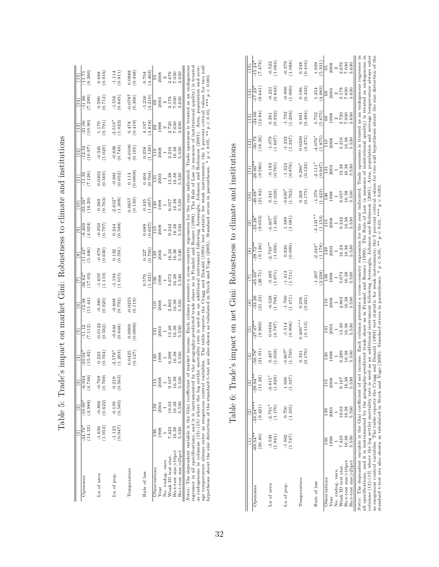| (4.988)<br>$-10.99$<br>(14.32)<br>$-34.79$<br>Openness | $\binom{3}{2}$                                           | $\widehat{t}$                                              | $\left(5\right)$    | $\widehat{\circ}$                                          | (7)                                                        | $\circledast$          | $\widehat{e}$                                              | (10)                    | $\left(11\right)$                                | (12)                                                       | $\left(13\right)$                                          | (14)                                                             | (15)                                                                |
|--------------------------------------------------------|----------------------------------------------------------|------------------------------------------------------------|---------------------|------------------------------------------------------------|------------------------------------------------------------|------------------------|------------------------------------------------------------|-------------------------|--------------------------------------------------|------------------------------------------------------------|------------------------------------------------------------|------------------------------------------------------------------|---------------------------------------------------------------------|
|                                                        | $-6.944$<br>$(4.748)$                                    | 33.04                                                      | ii<br>F             | $-12.38$                                                   | 36.62                                                      | 11.43                  | $-8.409$                                                   | 33.39                   | $\frac{33}{11}$                                  | $-12.54$                                                   | $-21.0C$                                                   | $\frac{-11.86}{(7.299)}$                                         | $-11.7$                                                             |
|                                                        |                                                          | (15.82)                                                    | (7.112)             | (11.44)                                                    | (17.03)                                                    | (5.446)                | (4.924)                                                    | (16.20)                 | (7.126)                                          | (10.97)                                                    | (10.90)                                                    |                                                                  | (6.260)                                                             |
| $-0.866$<br>$-1.636$<br>Ln of area                     | 0.769                                                    |                                                            |                     | (0.380)                                                    |                                                            |                        |                                                            |                         |                                                  |                                                            | $\frac{1.170}{(0.791)}$                                    |                                                                  |                                                                     |
| (0.622)<br>(1.053)                                     | 0.769                                                    | $\frac{0.223}{0.764}$                                      | (0.562)             |                                                            | (1.110)                                                    | (0.630)                | (262.0)                                                    | $\frac{0.269}{(0.763)}$ | (0.569)                                          | $-0.345$<br>(1.020)                                        |                                                            | (0.590)                                                          | $\begin{array}{c} 0.688 \\ 0.916 \end{array}$                       |
| 0.139<br>$-1.123$<br>Ln of pop.                        | 219                                                      | $-2.578*$                                                  | $-0.644$<br>(0.648) | (0.792)                                                    | (1.015)                                                    | $\binom{0.132}{0.591}$ | (0.588)                                                    | $2.632*$                | $\frac{-0.681}{(0.652)}$                         | (67.749)                                                   | $2.519*$                                                   | (0.845)                                                          | $\frac{1.114}{0.911}$                                               |
| (0.585)<br>(0.947)                                     | .563                                                     | (1.263)                                                    |                     |                                                            |                                                            |                        |                                                            | (1.308)                 |                                                  |                                                            | (1.022)                                                    |                                                                  |                                                                     |
| Temperature                                            |                                                          | $\binom{0.0425}{0.127}$                                    | (0.0806)            | (0.119)                                                    |                                                            |                        |                                                            | 0.0657                  |                                                  |                                                            | (614.0)                                                    | (0.366)                                                          | (9.348)                                                             |
|                                                        |                                                          |                                                            |                     |                                                            |                                                            |                        |                                                            | (0.130)                 | $\begin{array}{c} 0.113 \\ (0.0908) \end{array}$ | (0.106)                                                    |                                                            |                                                                  |                                                                     |
| Rule of law                                            |                                                          |                                                            |                     |                                                            | $0.576$<br>$1.321$                                         | $\frac{0.227}{0.703}$  | $\begin{array}{c} 0.689 \\ 0.627 \end{array}$              | $\frac{0.435}{(1.057)}$ | (70, 0.04)                                       | $\frac{0.258}{1.126}$                                      | 4.197<br>4.818)                                            | (4.210)                                                          | $\frac{0.704}{4.463}$                                               |
|                                                        |                                                          |                                                            |                     |                                                            |                                                            |                        |                                                            |                         |                                                  |                                                            |                                                            |                                                                  |                                                                     |
| 99<br>13<br>136<br>Observations                        |                                                          | 130                                                        | 131                 | 110                                                        | <b>136</b>                                                 | 139                    | È                                                          | $\frac{130}{2}$         | $\overline{131}$                                 | E                                                          | 69                                                         |                                                                  |                                                                     |
| 1998<br>Year                                           | $\begin{array}{c} 115 \\ 2008 \\ 1 \\ 9.167 \end{array}$ |                                                            | $\frac{2003}{1}$    |                                                            |                                                            | 2003                   |                                                            | 1998                    | $\frac{2003}{1}$                                 |                                                            |                                                            |                                                                  |                                                                     |
| No. endog. vars.                                       |                                                          |                                                            |                     |                                                            |                                                            |                        |                                                            | $\overline{a}$          |                                                  |                                                            |                                                            |                                                                  |                                                                     |
| 19.03<br>7.423<br>Weak ID test stat                    |                                                          | $\begin{array}{c} 1998 \\ 1 \\ 6.289 \\ 16.38 \end{array}$ | 13.49<br>16.38      | $\begin{array}{c} 2008 \\ 1 \\ 2.863 \\ 16.38 \end{array}$ | $\begin{array}{c} 1998 \\ 1 \\ 5.673 \\ 16.38 \end{array}$ | $\frac{16.24}{16.38}$  | $\begin{array}{c} 2008 \\ 1 \\ 9.242 \\ 16.38 \end{array}$ | 5.057                   | $\begin{array}{c} 13.38 \\ 16.38 \end{array}$    | $\begin{array}{c} 2008 \\ 1 \\ 3.216 \\ 16.38 \end{array}$ | $\begin{array}{c} 1998 \\ 2 \\ 2.720 \\ 7.030 \end{array}$ | $\begin{array}{c} 69 \\ 2003 \\ 2 \\ 3.178 \\ 7.030 \end{array}$ | $\begin{array}{r} 55 \\ 2008 \\ 2008 \\ 2.676 \\ 7.030 \end{array}$ |
| 16.38<br>16.38<br>Ho:t-test size>10pct                 | 16.38                                                    |                                                            |                     |                                                            |                                                            |                        |                                                            | 16.38                   |                                                  |                                                            |                                                            |                                                                  |                                                                     |
| 5.530<br>5.530<br>Ho:t-test size>25pct                 | 5.530                                                    | 5.530                                                      | 5.530               | 5.530                                                      | 5.530                                                      | 5.530                  | 5.530                                                      | 5.530                   | 5.530                                            | 5.530                                                      | 3.630                                                      | 3.630                                                            | 3.630                                                               |

| rade's impact on market (limit Robustness to climate and institutions)                                     |
|------------------------------------------------------------------------------------------------------------|
| i                                                                                                          |
| i                                                                                                          |
|                                                                                                            |
|                                                                                                            |
| ĺ                                                                                                          |
| :<br>>                                                                                                     |
| ĺ                                                                                                          |
| Seattle and                                                                                                |
|                                                                                                            |
|                                                                                                            |
| )<br>5<br>5<br>5<br>5<br>5<br>5<br>5<br>5<br>5<br>5<br>5<br>1<br><br><br><br><br><br><br><br><br><br><br>l |
|                                                                                                            |
| - - - -<br>$\frac{1}{2}$<br>í                                                                              |

as endogenous in columns (13)-(15) where the log settler mortality rate is used as an additional instrument following Acemoglu, Johnson and Robinson (2001). Area, population and average temperature always enter as exogeno as endogenous in columns (13)-(15) where the log settler mortality rate is used as an additional instrument following Acemoglu, Johnson and Robinson (2001). Area, population and average temperature always enter as exogenous control variables. The table reports the Cragg and Donald (1993) test statistic for weak instruments; the 5 percent critical values for two null hypotheses about the size distortion of the standard t-test are also shown as tabulated in Stock and Yogo (2005). Standard errors in parentheses. \* p < 0.05, \*\* p < 0.01, \*\*\* p < 0.001.

Table 6: Trade's impact on net Gini: Robustness to climate and institutions Table 6: Trade's impact on net Gini: Robustness to climate and institutions

|                                                                                                                                                                                                                                                                  |                      | ି                     | ම                     | $\left( \frac{4}{3} \right)$ | $\overline{5}$      | $\left( \frac{6}{2} \right)$ | $\overline{(7)}$    | $\circ$                                                                                                                                       | $\widehat{e}$           | $\left(10\right)$                               | Ē                   | (12)                | $\left($ 13)      | (14)                      | (15)                  |
|------------------------------------------------------------------------------------------------------------------------------------------------------------------------------------------------------------------------------------------------------------------|----------------------|-----------------------|-----------------------|------------------------------|---------------------|------------------------------|---------------------|-----------------------------------------------------------------------------------------------------------------------------------------------|-------------------------|-------------------------------------------------|---------------------|---------------------|-------------------|---------------------------|-----------------------|
| Openness                                                                                                                                                                                                                                                         | (26.40)<br>$-69.54*$ | $-33.24**$<br>(9.421) | $-29.94**$<br>(11.28) | 50.78<br>(21.91)             | (9.969)<br>$27.07*$ | $-33.26$<br>(21.23)          | $-65.69$<br>(28.71) | (9.126)<br>$28.72*$                                                                                                                           | (9.053)<br>23.28        | (21.82)<br>49.68                                | (9.580)<br>$26.00*$ | (18.26)<br>$-30.73$ | $-24.66$<br>12.84 | $-17.23$<br>(8.641)       | (874.7)<br>$-15.24$   |
|                                                                                                                                                                                                                                                                  |                      |                       |                       |                              |                     |                              |                     |                                                                                                                                               |                         |                                                 |                     |                     |                   |                           |                       |
| Ln of area                                                                                                                                                                                                                                                       | $-3.533$             | $-2.791*$             | $-3.815*$             | 0.487                        | 0.0494              | $-0.528$<br>(1.708)          | $-3.485$<br>(1.871) | $2.750**$                                                                                                                                     | $-3.407$ * $(1.465)$    | $\begin{array}{c} 0.341 \\ (1.028) \end{array}$ | (0.765)             | (1.697)             | 0.261             | $-0.221$<br>$(0.843)$     | $-0.522$              |
|                                                                                                                                                                                                                                                                  | (1.941)              | (1.176)               | (1.828)               | (1.058)                      | (0.787)             |                              |                     | (1.056)                                                                                                                                       |                         |                                                 |                     |                     | (0.932)           |                           | (1.094)               |
| Ln of pop.                                                                                                                                                                                                                                                       | $-1.562$             | 0.750                 | 1.500                 | $3.807$ <sup>*</sup>         | $-1.514$            | (1.471)                      | (1.711)             | $\begin{array}{c} 0.820 \\ (0.990) \end{array}$                                                                                               | $\frac{1.389}{(1.081)}$ | $3.639*$                                        | $-1.324$            |                     | (1.792)           | (000.1)                   | (1.088)               |
|                                                                                                                                                                                                                                                                  | (1.747)              | (1.105)               | $1.337$ )             | (1.750)                      | (0.908)             |                              |                     |                                                                                                                                               |                         | (1.762)                                         | (0.876)             | $-1.232$<br>(1.247) |                   |                           |                       |
| Temperature                                                                                                                                                                                                                                                      |                      |                       |                       | 0.341                        | $0.400***$          | 0.256                        |                     |                                                                                                                                               |                         | $\frac{0.268}{(0.175)}$                         | $0.280*$            | 0.0200              | 0.691             | $\frac{0.186}{(0.433)}$   |                       |
|                                                                                                                                                                                                                                                                  |                      |                       |                       | (0.176)                      | (0.113)             | (0.221)                      |                     |                                                                                                                                               |                         |                                                 | (0.122)             | (0.275)             | (0.494)           |                           | $\frac{0.248}{0.416}$ |
| Rule of law                                                                                                                                                                                                                                                      |                      |                       |                       |                              |                     |                              | $-1.207$            | $2.343*$                                                                                                                                      | $3.131**$               | $-1.370$                                        | $2.111*$            | $4.076*$            | 5.752             | 1.254                     | 1.939                 |
|                                                                                                                                                                                                                                                                  |                      |                       |                       |                              |                     |                              | (2.228)             | (1.178)                                                                                                                                       | (1.153)                 | (1.423)                                         | (0.947)             | (1.875)             | 5.675             | (4.983)                   | 5.331                 |
| Observations                                                                                                                                                                                                                                                     | 36                   | - 39                  |                       | $\frac{30}{1}$               | $\overline{131}$    | $\frac{0}{11}$               | 136                 | 139                                                                                                                                           | 115                     | 130                                             | 131                 | $\frac{1}{10}$      | 69                | $^{69}$                   | 55<br>2008            |
| Year                                                                                                                                                                                                                                                             | 1998                 | 2003                  | 2008                  | 1998                         | 2003                | 2008                         | 1998                | 2003                                                                                                                                          | 2008                    | 1998                                            | 2003                | 2008                | 1998              | 2003                      |                       |
| No. endog. vars.                                                                                                                                                                                                                                                 |                      |                       |                       | $\overline{a}$               |                     | $\overline{a}$               | $\frac{1}{2}$       | $\overline{a}$                                                                                                                                | $\frac{1}{9.242}$       | $\frac{1}{6.057}$                               | $\overline{a}$      | $\overline{a}$      | $\frac{2}{7.030}$ | $\boldsymbol{\mathsf{N}}$ | $\frac{2}{2.676}$     |
| Weak ID test stat                                                                                                                                                                                                                                                | 7.423                | 19.03                 | 9.167                 | 6.289                        | 13.49               | 2.863                        | 5.673               | 16.24                                                                                                                                         |                         |                                                 | 13.38               | 3.216<br>16.38      |                   | 3.178<br>7.030            |                       |
| Ho:t-test size>10pct                                                                                                                                                                                                                                             | 16.38                | 16.38                 | 16.38                 | 16.38                        | 16.38               | 16.38                        | 16.38               | 16.38                                                                                                                                         | 16.38                   | 16.38                                           | 16.38               |                     |                   |                           | 7.030                 |
| Ho:t-test size>25pct                                                                                                                                                                                                                                             | 5.530                | 5.530                 | 5.530                 | 5.530                        | 5.530               | 5.530                        | 5.530               | 5.530                                                                                                                                         | 5.530                   | 5.530                                           | 5.530               | .530                | 3.630             | 3.630                     | 1.630                 |
| Notes: The dependent variable is the Gini coefficient of net                                                                                                                                                                                                     |                      |                       |                       |                              |                     |                              |                     | income. Each column presents a cross-country regression for the year indicated. Trade openness is treated as an endogenous regressor in       |                         |                                                 |                     |                     |                   |                           |                       |
| all specifications, and it is instrumented by the geography-predicted trade share as in Frankel and Romer (1999). The Rule of Law (a measure of institutional quality) is treated as endogenous in                                                               |                      |                       |                       |                              |                     |                              |                     |                                                                                                                                               |                         |                                                 |                     |                     |                   |                           |                       |
| columns (13)-(15) where the log settler mortality rate is used as an additional instrument following Acemoglu, Johnson and Robinson (2001). Area, population and average temperature always enter<br>as exogenous control variables. The table reports the Cragg |                      |                       |                       |                              |                     |                              |                     | and Donald (1993) test statistic for weak instruments; the 5 percent critical values for two null hypotheses about the size distortion of the |                         |                                                 |                     |                     |                   |                           |                       |
| standard t-test are also shown as tabulated in Stock and Yo                                                                                                                                                                                                      |                      |                       |                       |                              |                     |                              |                     | go (2005). Standard errors in parentheses. * $p < 0.05$ , ** $p < 0.01$ , *** $p < 0.00$                                                      |                         |                                                 |                     |                     |                   |                           |                       |

standard t-test are also shown as tabulated in Stock and Yogo (2005). Standard errors in parentheses. \*  $p < 0.05$ , \*\*  $p < 0.01$ , \*\*\*  $p < 0.001$ .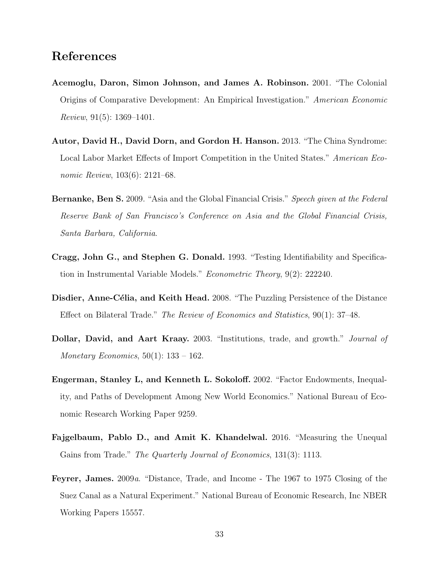## References

- Acemoglu, Daron, Simon Johnson, and James A. Robinson. 2001. "The Colonial Origins of Comparative Development: An Empirical Investigation." American Economic Review, 91(5): 1369–1401.
- Autor, David H., David Dorn, and Gordon H. Hanson. 2013. "The China Syndrome: Local Labor Market Effects of Import Competition in the United States." American Economic Review, 103(6): 2121–68.
- **Bernanke, Ben S.** 2009. "Asia and the Global Financial Crisis." *Speech given at the Federal* Reserve Bank of San Francisco's Conference on Asia and the Global Financial Crisis, Santa Barbara, California.
- Cragg, John G., and Stephen G. Donald. 1993. "Testing Identifiability and Specification in Instrumental Variable Models." Econometric Theory, 9(2): 222240.
- Disdier, Anne-Célia, and Keith Head. 2008. "The Puzzling Persistence of the Distance Effect on Bilateral Trade." The Review of Economics and Statistics, 90(1): 37–48.
- Dollar, David, and Aart Kraay. 2003. "Institutions, trade, and growth." Journal of *Monetary Economics*,  $50(1)$ : 133 – 162.
- Engerman, Stanley L, and Kenneth L. Sokoloff. 2002. "Factor Endowments, Inequality, and Paths of Development Among New World Economics." National Bureau of Economic Research Working Paper 9259.
- Fajgelbaum, Pablo D., and Amit K. Khandelwal. 2016. "Measuring the Unequal Gains from Trade." *The Quarterly Journal of Economics*, 131(3): 1113.
- Feyrer, James. 2009a. "Distance, Trade, and Income The 1967 to 1975 Closing of the Suez Canal as a Natural Experiment." National Bureau of Economic Research, Inc NBER Working Papers 15557.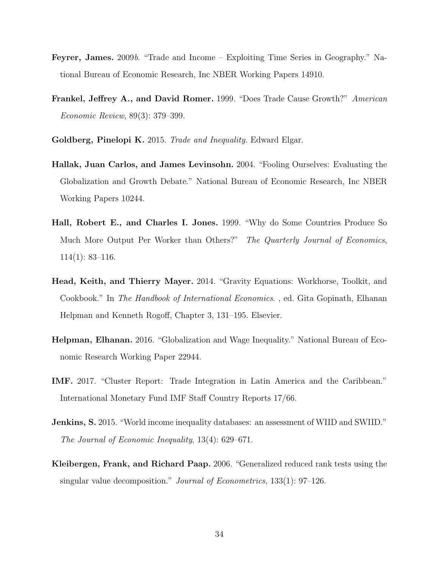- Feyrer, James. 2009b. "Trade and Income Exploiting Time Series in Geography." National Bureau of Economic Research, Inc NBER Working Papers 14910.
- Frankel, Jeffrey A., and David Romer. 1999. "Does Trade Cause Growth?" American Economic Review, 89(3): 379–399.
- Goldberg, Pinelopi K. 2015. Trade and Inequality. Edward Elgar.
- Hallak, Juan Carlos, and James Levinsohn. 2004. "Fooling Ourselves: Evaluating the Globalization and Growth Debate." National Bureau of Economic Research, Inc NBER Working Papers 10244.
- Hall, Robert E., and Charles I. Jones. 1999. "Why do Some Countries Produce So Much More Output Per Worker than Others?" The Quarterly Journal of Economics,  $114(1): 83-116.$
- Head, Keith, and Thierry Mayer. 2014. "Gravity Equations: Workhorse, Toolkit, and Cookbook." In The Handbook of International Economics. , ed. Gita Gopinath, Elhanan Helpman and Kenneth Rogoff, Chapter 3, 131–195. Elsevier.
- Helpman, Elhanan. 2016. "Globalization and Wage Inequality." National Bureau of Economic Research Working Paper 22944.
- IMF. 2017. "Cluster Report: Trade Integration in Latin America and the Caribbean." International Monetary Fund IMF Staff Country Reports 17/66.
- Jenkins, S. 2015. "World income inequality databases: an assessment of WIID and SWIID." The Journal of Economic Inequality, 13(4): 629–671.
- Kleibergen, Frank, and Richard Paap. 2006. "Generalized reduced rank tests using the singular value decomposition." Journal of Econometrics, 133(1): 97–126.